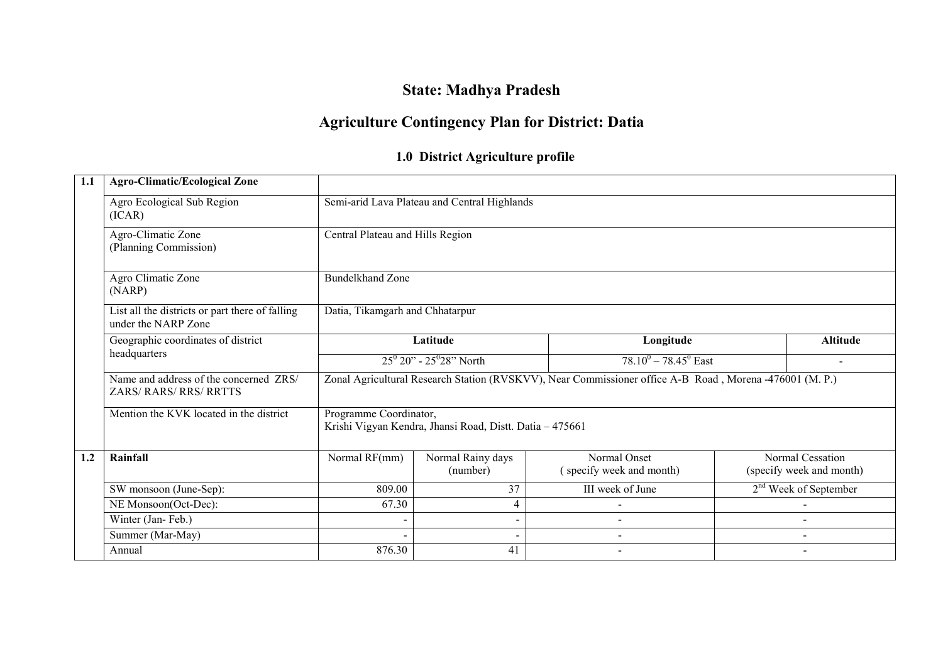# State: Madhya Pradesh

# Agriculture Contingency Plan for District: Datia

# 1.0 District Agriculture profile

| 1.1 | <b>Agro-Climatic/Ecological Zone</b>                                    |                                                                                                         |                                              |                                          |  |                                              |  |  |  |  |
|-----|-------------------------------------------------------------------------|---------------------------------------------------------------------------------------------------------|----------------------------------------------|------------------------------------------|--|----------------------------------------------|--|--|--|--|
|     | Agro Ecological Sub Region<br>(ICAR)                                    |                                                                                                         | Semi-arid Lava Plateau and Central Highlands |                                          |  |                                              |  |  |  |  |
|     | Agro-Climatic Zone<br>(Planning Commission)                             | Central Plateau and Hills Region                                                                        |                                              |                                          |  |                                              |  |  |  |  |
|     | Agro Climatic Zone<br>(NARP)                                            | <b>Bundelkhand Zone</b>                                                                                 |                                              |                                          |  |                                              |  |  |  |  |
|     | List all the districts or part there of falling<br>under the NARP Zone  | Datia, Tikamgarh and Chhatarpur                                                                         |                                              |                                          |  |                                              |  |  |  |  |
|     | Geographic coordinates of district<br>headquarters                      |                                                                                                         | Latitude                                     | Longitude                                |  | <b>Altitude</b>                              |  |  |  |  |
|     |                                                                         | $25^{\circ} 20$ " - $25^{\circ} 28$ " North<br>$78.10^{0} - 78.45^{0}$ East                             |                                              |                                          |  |                                              |  |  |  |  |
|     | Name and address of the concerned ZRS/<br><b>ZARS/ RARS/ RRS/ RRTTS</b> | Zonal Agricultural Research Station (RVSKVV), Near Commissioner office A-B Road, Morena -476001 (M. P.) |                                              |                                          |  |                                              |  |  |  |  |
|     | Mention the KVK located in the district                                 | Programme Coordinator,<br>Krishi Vigyan Kendra, Jhansi Road, Distt. Datia - 475661                      |                                              |                                          |  |                                              |  |  |  |  |
| 1.2 | Rainfall                                                                | Normal RF(mm)                                                                                           | Normal Rainy days<br>(number)                | Normal Onset<br>(specify week and month) |  | Normal Cessation<br>(specify week and month) |  |  |  |  |
|     | SW monsoon (June-Sep):                                                  | 809.00                                                                                                  | III week of June<br>37                       |                                          |  | $2nd$ Week of September                      |  |  |  |  |
|     | NE Monsoon(Oct-Dec):                                                    | 67.30                                                                                                   | 4                                            |                                          |  |                                              |  |  |  |  |
|     | Winter (Jan-Feb.)                                                       |                                                                                                         | $\sim$                                       |                                          |  |                                              |  |  |  |  |
|     | Summer (Mar-May)                                                        |                                                                                                         | $\qquad \qquad \blacksquare$                 |                                          |  | $\overline{\phantom{a}}$                     |  |  |  |  |
|     | Annual                                                                  | 876.30                                                                                                  | 41                                           |                                          |  |                                              |  |  |  |  |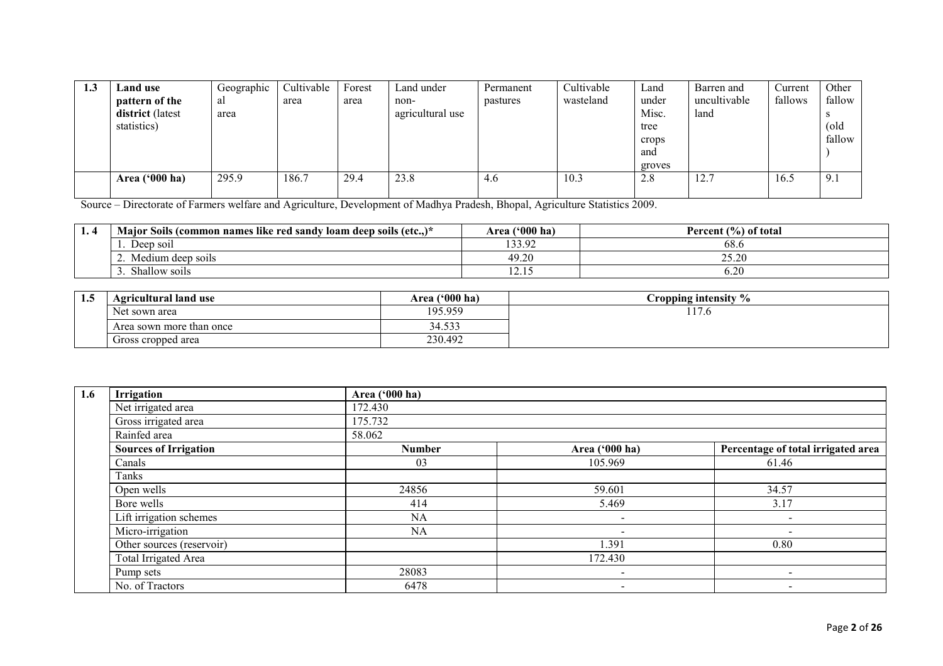| 1.3 | Land use                | Geographic | Cultivable | Forest | Land under       | Permanent | Cultivable | Land   | Barren and   | Current | Other  |
|-----|-------------------------|------------|------------|--------|------------------|-----------|------------|--------|--------------|---------|--------|
|     | pattern of the          | al         | area       | area   | non-             | pastures  | wasteland  | under  | uncultivable | fallows | fallow |
|     | district (latest        | area       |            |        | agricultural use |           |            | Misc.  | land         |         |        |
|     | statistics)             |            |            |        |                  |           |            | tree   |              |         | (old   |
|     |                         |            |            |        |                  |           |            | crops  |              |         | fallow |
|     |                         |            |            |        |                  |           |            | and    |              |         |        |
|     |                         |            |            |        |                  |           |            | groves |              |         |        |
|     | Area $(900 \text{ ha})$ | 295.9      | 186.7      | 29.4   | 23.8             | 4.6       | 10.3       | 2.8    | 12.7         | 16.5    | 9.1    |
|     |                         |            |            |        |                  |           |            |        |              |         |        |

Source – Directorate of Farmers welfare and Agriculture, Development of Madhya Pradesh, Bhopal, Agriculture Statistics 2009.

| $\blacksquare$ . | $\cdots$<br>s like red sandy loam deep soils (etc)<br><b>Maior Soils (common names)</b><br>$\sqrt{2}$ | $(5000)$ ha<br>Area | Percent (%) of total |
|------------------|-------------------------------------------------------------------------------------------------------|---------------------|----------------------|
|                  | Deep soil                                                                                             | 1220<br>133.92      | $68.$ c              |
|                  | Medium deep soils                                                                                     | 49.2                | ኃና ኃበ<br>20.ZU       |
|                  | $\sim$ 1<br>Shallow soils                                                                             | .                   | 6.2C                 |

| 1.5 | Agricultural land use    | Area ('000 ha)                 | $\frac{0}{\alpha}$<br>ropping intensity |
|-----|--------------------------|--------------------------------|-----------------------------------------|
|     | Net sown area            | 195.959                        | $\overline{1}$<br>$\cdot$ O<br>l 17     |
|     | Area sown more than once | $\sim$<br>34<br>1.5.1<br>+.ບຸບ |                                         |
|     | Gross cropped area       | 230.492                        |                                         |

| 1.6 | Irrigation                   | Area ('000 ha) |                          |                                    |  |  |  |  |
|-----|------------------------------|----------------|--------------------------|------------------------------------|--|--|--|--|
|     | Net irrigated area           | 172.430        |                          |                                    |  |  |  |  |
|     | Gross irrigated area         | 175.732        |                          |                                    |  |  |  |  |
|     | Rainfed area                 | 58.062         |                          |                                    |  |  |  |  |
|     | <b>Sources of Irrigation</b> | <b>Number</b>  | Area ('000 ha)           | Percentage of total irrigated area |  |  |  |  |
|     | Canals                       | 03             | 105.969                  | 61.46                              |  |  |  |  |
|     | Tanks                        |                |                          |                                    |  |  |  |  |
|     | Open wells                   | 24856          | 59.601                   | 34.57                              |  |  |  |  |
|     | Bore wells                   | 414            | 5.469                    | 3.17                               |  |  |  |  |
|     | Lift irrigation schemes      | <b>NA</b>      | $\overline{\phantom{a}}$ | $\overline{\phantom{0}}$           |  |  |  |  |
|     | Micro-irrigation             | <b>NA</b>      | $\overline{\phantom{0}}$ |                                    |  |  |  |  |
|     | Other sources (reservoir)    |                | 1.391                    | 0.80                               |  |  |  |  |
|     | <b>Total Irrigated Area</b>  |                | 172.430                  |                                    |  |  |  |  |
|     | Pump sets                    | 28083          | $\overline{\phantom{a}}$ | $\overline{\phantom{0}}$           |  |  |  |  |
|     | No. of Tractors              | 6478           | $\,$                     | $\overline{\phantom{0}}$           |  |  |  |  |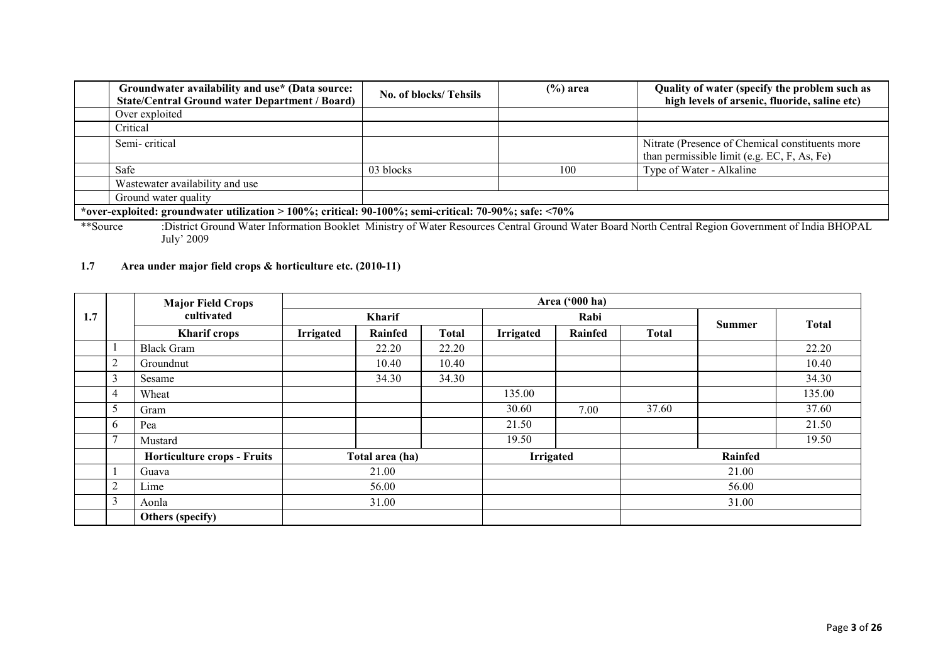|                                                                                                       | No. of blocks/Tehsils                                                                                                                       | $(\%)$ area | Quality of water (specify the problem such as<br>high levels of arsenic, fluoride, saline etc) |  |  |
|-------------------------------------------------------------------------------------------------------|---------------------------------------------------------------------------------------------------------------------------------------------|-------------|------------------------------------------------------------------------------------------------|--|--|
|                                                                                                       |                                                                                                                                             |             |                                                                                                |  |  |
|                                                                                                       |                                                                                                                                             |             |                                                                                                |  |  |
|                                                                                                       |                                                                                                                                             |             | Nitrate (Presence of Chemical constituents more<br>than permissible limit (e.g. EC, F, As, Fe) |  |  |
|                                                                                                       | 03 blocks                                                                                                                                   | 100         | Type of Water - Alkaline                                                                       |  |  |
|                                                                                                       |                                                                                                                                             |             |                                                                                                |  |  |
|                                                                                                       |                                                                                                                                             |             |                                                                                                |  |  |
| *over-exploited: groundwater utilization > 100%; critical: 90-100%; semi-critical: 70-90%; safe: <70% |                                                                                                                                             |             |                                                                                                |  |  |
|                                                                                                       | Groundwater availability and use* (Data source:<br><b>State/Central Ground water Department / Board)</b><br>Wastewater availability and use |             |                                                                                                |  |  |

 \*\*Source :District Ground Water Information Booklet Ministry of Water Resources Central Ground Water Board North Central Region Government of India BHOPAL July' 2009

### 1.7 Area under major field crops & horticulture etc. (2010-11)

|     |                | <b>Major Field Crops</b>           |                  |                 |       |                  | Area ('000 ha) |              |         |        |
|-----|----------------|------------------------------------|------------------|-----------------|-------|------------------|----------------|--------------|---------|--------|
| 1.7 |                | cultivated                         | <b>Kharif</b>    |                 | Rabi  |                  | <b>Summer</b>  | <b>Total</b> |         |        |
|     |                | <b>Kharif crops</b>                | <b>Irrigated</b> | Rainfed         | Total | <b>Irrigated</b> | Rainfed        | Total        |         |        |
|     |                | <b>Black Gram</b>                  |                  | 22.20           | 22.20 |                  |                |              |         | 22.20  |
|     | 2              | Groundnut                          |                  | 10.40           | 10.40 |                  |                |              |         | 10.40  |
|     | 3              | Sesame                             |                  | 34.30           | 34.30 |                  |                |              |         | 34.30  |
|     | 4              | Wheat                              |                  |                 |       | 135.00           |                |              |         | 135.00 |
|     | 5              | Gram                               |                  |                 |       | 30.60            | 7.00           | 37.60        |         | 37.60  |
|     | 6              | Pea                                |                  |                 |       | 21.50            |                |              |         | 21.50  |
|     | $\mathcal{I}$  | Mustard                            |                  |                 |       | 19.50            |                |              |         | 19.50  |
|     |                | <b>Horticulture crops - Fruits</b> |                  | Total area (ha) |       | <b>Irrigated</b> |                |              | Rainfed |        |
|     |                | Guava                              |                  | 21.00           |       |                  |                |              | 21.00   |        |
|     | $\overline{2}$ | Lime                               |                  | 56.00           |       |                  |                |              | 56.00   |        |
|     | 3              | Aonla                              |                  | 31.00           |       |                  |                |              | 31.00   |        |
|     |                | Others (specify)                   |                  |                 |       |                  |                |              |         |        |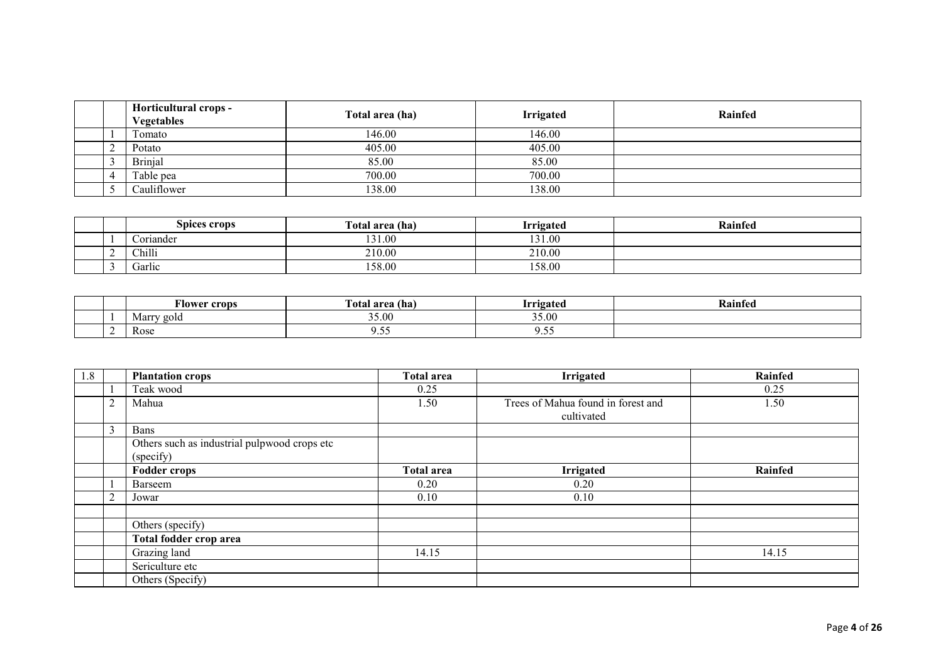|  | Horticultural crops -<br><b>Vegetables</b> | Total area (ha) | <b>Irrigated</b> | Rainfed |
|--|--------------------------------------------|-----------------|------------------|---------|
|  | Fomato                                     | 146.00          | 146.00           |         |
|  | Potato                                     | 405.00          | 405.00           |         |
|  | <b>Brinjal</b>                             | 85.00           | 85.00            |         |
|  | Table pea                                  | 700.00          | 700.00           |         |
|  | Cauliflower                                | 138.00          | 138.00           |         |

|  | Spices crops | Total area (ha) | Irrigated | Rainfed |
|--|--------------|-----------------|-----------|---------|
|  | Coriander    | 131.00          | 131.00    |         |
|  | Chilli       | 210.00          | 210.00    |         |
|  | Garlic       | 158.00          | 158.00    |         |

|  | --<br>Alower crops | m<br>l`otal area (ha) | Trugated | Kaintec |
|--|--------------------|-----------------------|----------|---------|
|  | 'arry gold<br>Marr | 35.00                 | 35.00    |         |
|  | Rose               |                       | ノ・シー     |         |

| 1.8 |                | <b>Plantation crops</b>                                   | <b>Total area</b> | <b>Irrigated</b>                                 | Rainfed |
|-----|----------------|-----------------------------------------------------------|-------------------|--------------------------------------------------|---------|
|     |                | Teak wood                                                 | 0.25              |                                                  | 0.25    |
|     | $\overline{2}$ | Mahua                                                     | 1.50              | Trees of Mahua found in forest and<br>cultivated | 1.50    |
|     | 3              | Bans                                                      |                   |                                                  |         |
|     |                | Others such as industrial pulpwood crops etc<br>(specify) |                   |                                                  |         |
|     |                | <b>Fodder crops</b>                                       | <b>Total area</b> | Irrigated                                        | Rainfed |
|     |                | Barseem                                                   | 0.20              | 0.20                                             |         |
|     | $\overline{2}$ | Jowar                                                     | 0.10              | 0.10                                             |         |
|     |                |                                                           |                   |                                                  |         |
|     |                | Others (specify)                                          |                   |                                                  |         |
|     |                | Total fodder crop area                                    |                   |                                                  |         |
|     |                | Grazing land                                              | 14.15             |                                                  | 14.15   |
|     |                | Sericulture etc                                           |                   |                                                  |         |
|     |                | Others (Specify)                                          |                   |                                                  |         |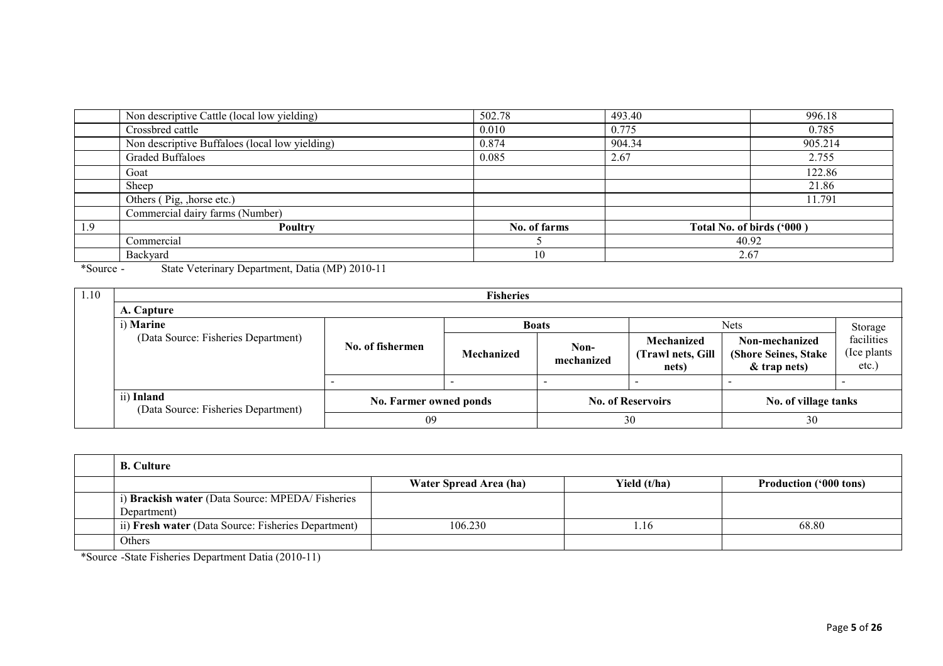|     | Non descriptive Cattle (local low yielding)    | 502.78       | 493.40                    | 996.18  |
|-----|------------------------------------------------|--------------|---------------------------|---------|
|     | Crossbred cattle                               | 0.010        | 0.775                     | 0.785   |
|     | Non descriptive Buffaloes (local low yielding) | 0.874        | 904.34                    | 905.214 |
|     | <b>Graded Buffaloes</b>                        | 0.085        | 2.67                      | 2.755   |
|     | Goat                                           |              |                           | 122.86  |
|     | Sheep                                          |              |                           | 21.86   |
|     | Others (Pig, , horse etc.)                     |              |                           | 11.791  |
|     | Commercial dairy farms (Number)                |              |                           |         |
| 1.9 | Poultry                                        | No. of farms | Total No. of birds ('000) |         |
|     | Commercial                                     |              |                           | 40.92   |
|     | Backyard                                       | 10           |                           | 2.67    |

\*Source - State Veterinary Department, Datia (MP) 2010-11

| 1.10 |                                                     |                        | <b>Fisheries</b> |                          |                                          |                                                          |                                        |  |  |
|------|-----------------------------------------------------|------------------------|------------------|--------------------------|------------------------------------------|----------------------------------------------------------|----------------------------------------|--|--|
|      | A. Capture                                          |                        |                  |                          |                                          |                                                          |                                        |  |  |
|      | i) Marine<br><b>Nets</b><br><b>Boats</b><br>Storage |                        |                  |                          |                                          |                                                          |                                        |  |  |
|      | (Data Source: Fisheries Department)                 | No. of fishermen       | Mechanized       | Non-<br>mechanized       | Mechanized<br>(Trawl nets, Gill<br>nets) | Non-mechanized<br>(Shore Seines, Stake<br>$&$ trap nets) | facilities<br>(Ice plants)<br>$etc.$ ) |  |  |
|      |                                                     |                        |                  | -                        |                                          |                                                          | $\overline{\phantom{0}}$               |  |  |
|      | ii) Inland<br>(Data Source: Fisheries Department)   | No. Farmer owned ponds |                  | <b>No. of Reservoirs</b> |                                          | No. of village tanks                                     |                                        |  |  |
|      |                                                     | 09                     |                  |                          | 30                                       | 30                                                       |                                        |  |  |

| <b>B.</b> Culture                                              |                        |              |                               |
|----------------------------------------------------------------|------------------------|--------------|-------------------------------|
|                                                                | Water Spread Area (ha) | Yield (t/ha) | <b>Production ('000 tons)</b> |
| i) Brackish water (Data Source: MPEDA/Fisheries<br>Department) |                        |              |                               |
| ii) Fresh water (Data Source: Fisheries Department)            | 106.230                | . 16         | 68.80                         |
| Others                                                         |                        |              |                               |

\*Source -State Fisheries Department Datia (2010-11)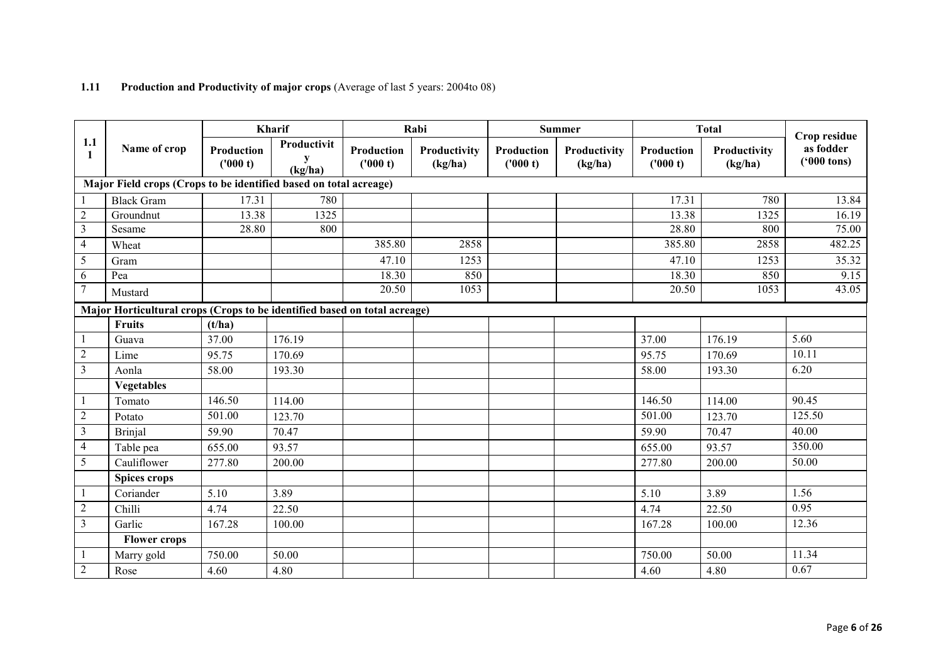|                     |                                                                           |                        | Kharif                      |                        | Rabi                    |                        | <b>Summer</b>           |                       | <b>Total</b>            | Crop residue                      |
|---------------------|---------------------------------------------------------------------------|------------------------|-----------------------------|------------------------|-------------------------|------------------------|-------------------------|-----------------------|-------------------------|-----------------------------------|
| 1.1<br>$\mathbf{1}$ | Name of crop                                                              | Production<br>('000 t) | Productivit<br>y<br>(kg/ha) | Production<br>('000 t) | Productivity<br>(kg/ha) | Production<br>('000 t) | Productivity<br>(kg/ha) | Production<br>(000 t) | Productivity<br>(kg/ha) | as fodder<br>$(900 \text{ tons})$ |
|                     | Major Field crops (Crops to be identified based on total acreage)         |                        |                             |                        |                         |                        |                         |                       |                         |                                   |
|                     | <b>Black Gram</b>                                                         | 17.31                  | 780                         |                        |                         |                        |                         | 17.31                 | 780                     | 13.84                             |
| $\overline{2}$      | Groundnut                                                                 | 13.38                  | 1325                        |                        |                         |                        |                         | 13.38                 | 1325                    | 16.19                             |
| $\overline{3}$      | Sesame                                                                    | 28.80                  | 800                         |                        |                         |                        |                         | 28.80                 | 800                     | 75.00                             |
| 4                   | Wheat                                                                     |                        |                             | 385.80                 | 2858                    |                        |                         | 385.80                | 2858                    | 482.25                            |
| 5                   | Gram                                                                      |                        |                             | 47.10                  | 1253                    |                        |                         | 47.10                 | 1253                    | 35.32                             |
| 6                   | Pea                                                                       |                        |                             | 18.30                  | 850                     |                        |                         | 18.30                 | 850                     | 9.15                              |
| 7                   | Mustard                                                                   |                        |                             | 20.50                  | 1053                    |                        |                         | 20.50                 | 1053                    | 43.05                             |
|                     | Major Horticultural crops (Crops to be identified based on total acreage) |                        |                             |                        |                         |                        |                         |                       |                         |                                   |
|                     | Fruits                                                                    | (t/ha)                 |                             |                        |                         |                        |                         |                       |                         |                                   |
|                     | Guava                                                                     | 37.00                  | 176.19                      |                        |                         |                        |                         | 37.00                 | 176.19                  | 5.60                              |
| $\overline{2}$      | Lime                                                                      | 95.75                  | 170.69                      |                        |                         |                        |                         | 95.75                 | 170.69                  | 10.11                             |
| $\mathfrak{Z}$      | Aonla                                                                     | 58.00                  | 193.30                      |                        |                         |                        |                         | 58.00                 | 193.30                  | 6.20                              |
|                     | <b>Vegetables</b>                                                         |                        |                             |                        |                         |                        |                         |                       |                         |                                   |
|                     | Tomato                                                                    | 146.50                 | 114.00                      |                        |                         |                        |                         | 146.50                | 114.00                  | 90.45                             |
| $\overline{2}$      | Potato                                                                    | 501.00                 | 123.70                      |                        |                         |                        |                         | 501.00                | 123.70                  | 125.50                            |
| 3                   | <b>Brinjal</b>                                                            | 59.90                  | 70.47                       |                        |                         |                        |                         | 59.90                 | 70.47                   | 40.00                             |
| 4                   | Table pea                                                                 | 655.00                 | 93.57                       |                        |                         |                        |                         | 655.00                | 93.57                   | 350.00                            |
| 5                   | Cauliflower                                                               | 277.80                 | 200.00                      |                        |                         |                        |                         | 277.80                | 200.00                  | 50.00                             |
|                     | Spices crops                                                              |                        |                             |                        |                         |                        |                         |                       |                         |                                   |
|                     | Coriander                                                                 | 5.10                   | 3.89                        |                        |                         |                        |                         | 5.10                  | 3.89                    | 1.56                              |
| $\overline{2}$      | Chilli                                                                    | 4.74                   | 22.50                       |                        |                         |                        |                         | 4.74                  | 22.50                   | 0.95                              |
| $\mathfrak{Z}$      | Garlic                                                                    | 167.28                 | 100.00                      |                        |                         |                        |                         | 167.28                | 100.00                  | 12.36                             |
|                     | <b>Flower crops</b>                                                       |                        |                             |                        |                         |                        |                         |                       |                         |                                   |
|                     | Marry gold                                                                | 750.00                 | 50.00                       |                        |                         |                        |                         | 750.00                | 50.00                   | 11.34                             |
| $\overline{2}$      | Rose                                                                      | 4.60                   | 4.80                        |                        |                         |                        |                         | 4.60                  | 4.80                    | 0.67                              |

## 1.11 Production and Productivity of major crops (Average of last 5 years: 2004to 08)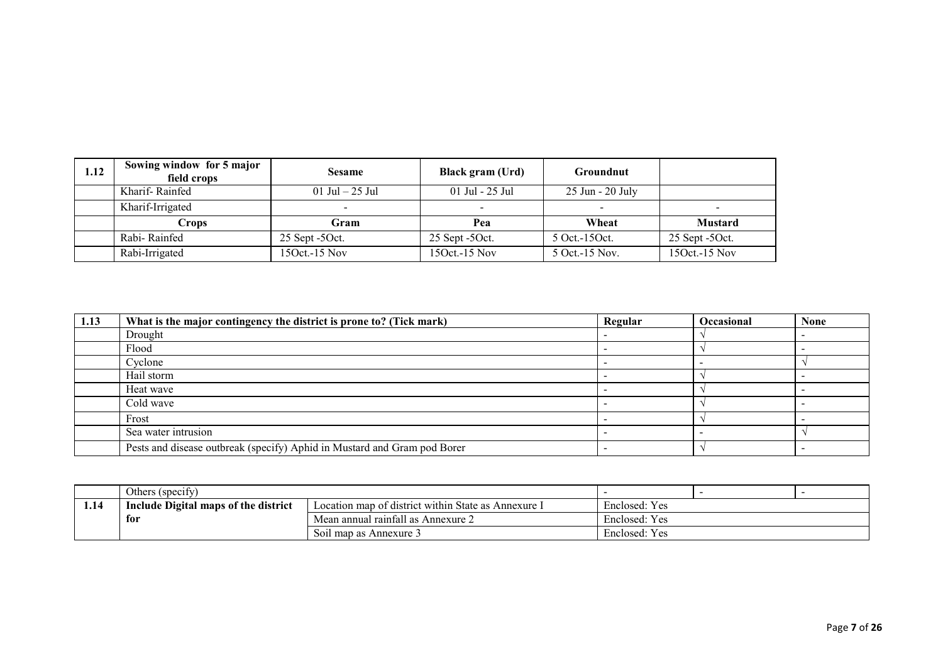| 1.12 | Sowing window for 5 major<br>field crops | <b>Sesame</b>        | Black gram (Urd)     | Groundnut                |                  |
|------|------------------------------------------|----------------------|----------------------|--------------------------|------------------|
|      | Kharif-Rainfed                           | 01 Jul $-25$ Jul     | 01 Jul - 25 Jul      | 25 Jun - 20 July         |                  |
|      | Kharif-Irrigated                         |                      |                      | $\overline{\phantom{0}}$ |                  |
|      | Crops                                    | Gram                 | Pea                  | Wheat                    | <b>Mustard</b>   |
|      | Rabi-Rainfed                             | $25$ Sept -50 $ct$ . | $25$ Sept -50 $ct$ . | 5 Oct. 15 Oct.           | $25$ Sept -50ct. |
|      | Rabi-Irrigated                           | 150ct.-15 Nov        | $150ct - 15$ Nov     | 5 Oct. 15 Nov.           | 15Oct.-15 Nov    |

| 1.13 | What is the major contingency the district is prone to? (Tick mark)      | Regular | <b>Occasional</b> | <b>None</b> |
|------|--------------------------------------------------------------------------|---------|-------------------|-------------|
|      | Drought                                                                  |         |                   |             |
|      | Flood                                                                    |         |                   |             |
|      | Cyclone                                                                  |         |                   |             |
|      | Hail storm                                                               |         |                   |             |
|      | Heat wave                                                                |         |                   |             |
|      | Cold wave                                                                |         |                   |             |
|      | Frost                                                                    |         |                   |             |
|      | Sea water intrusion                                                      |         |                   |             |
|      | Pests and disease outbreak (specify) Aphid in Mustard and Gram pod Borer |         |                   |             |

|      | $\cdot$ $\sim$<br>Others (specify)   |                                                        |                               |  |  |
|------|--------------------------------------|--------------------------------------------------------|-------------------------------|--|--|
| 1.14 | Include Digital maps of the district | Location map of district within State as A<br>Annexure | Enclosed: Yes                 |  |  |
|      | for                                  | Mean annual rainfall as Annexure 2                     | $\mathbf{r}$<br>Enclosed: Yes |  |  |
|      |                                      | Soil map as Annexure 3                                 | $\mathbf{v}$<br>Enclosed: Yes |  |  |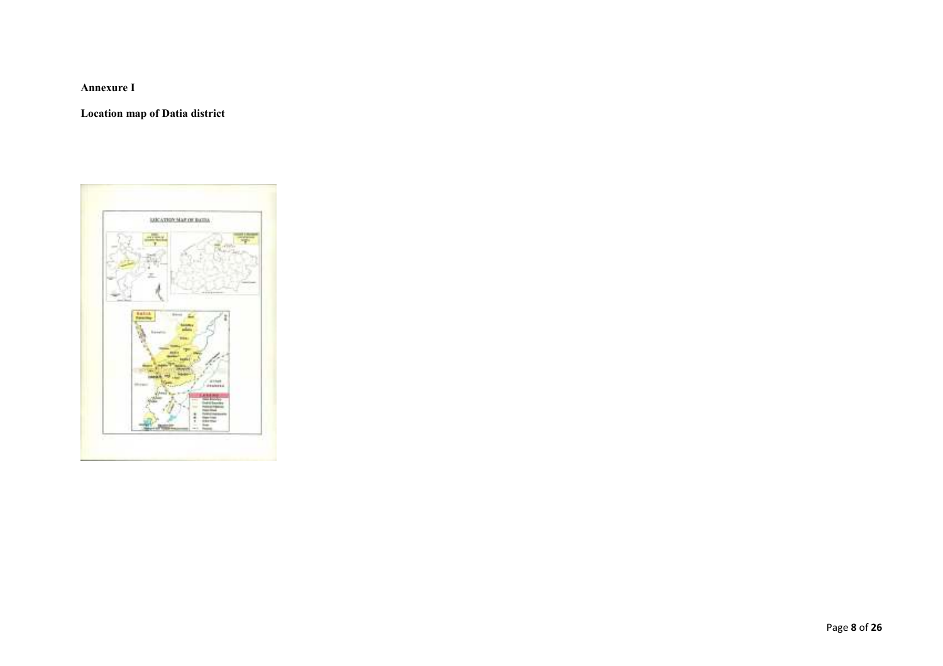Annexure I

Location map of Datia district

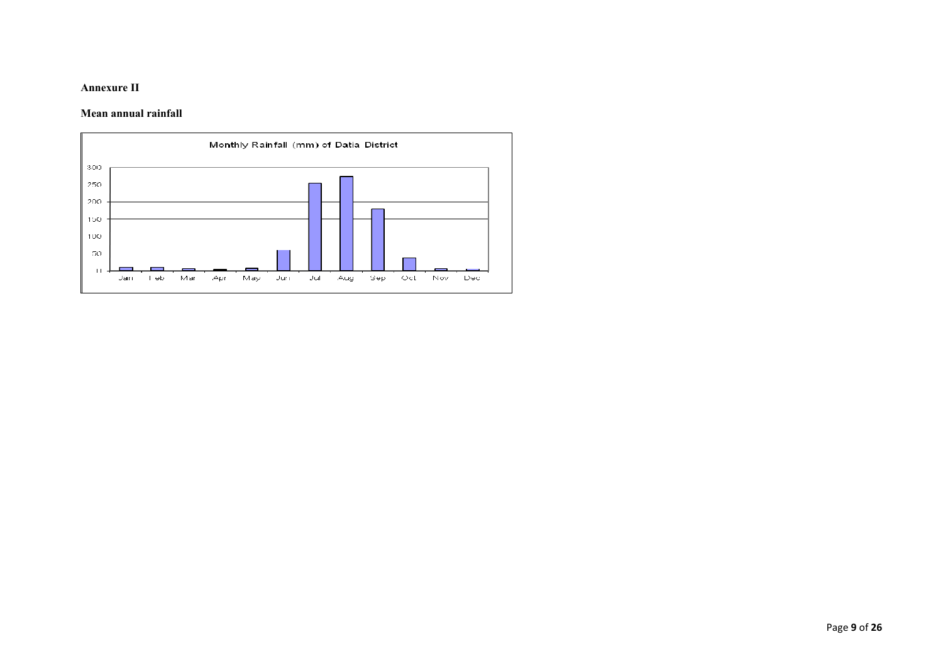### Annexure II

#### Mean annual rainfall

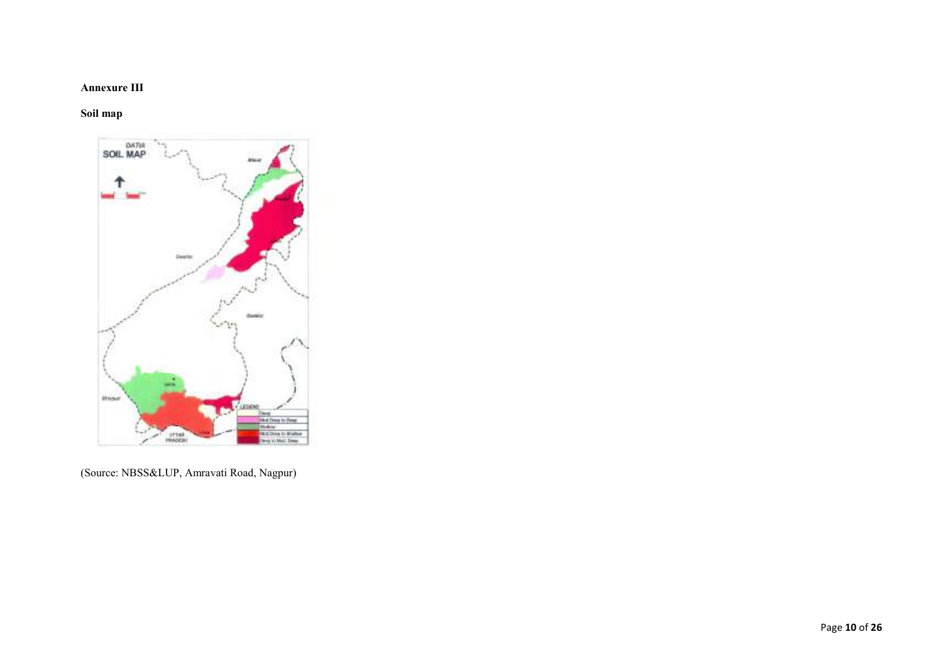### Annexure III

### Soil map



(Source: NBSS&LUP, Amravati Road, Nagpur)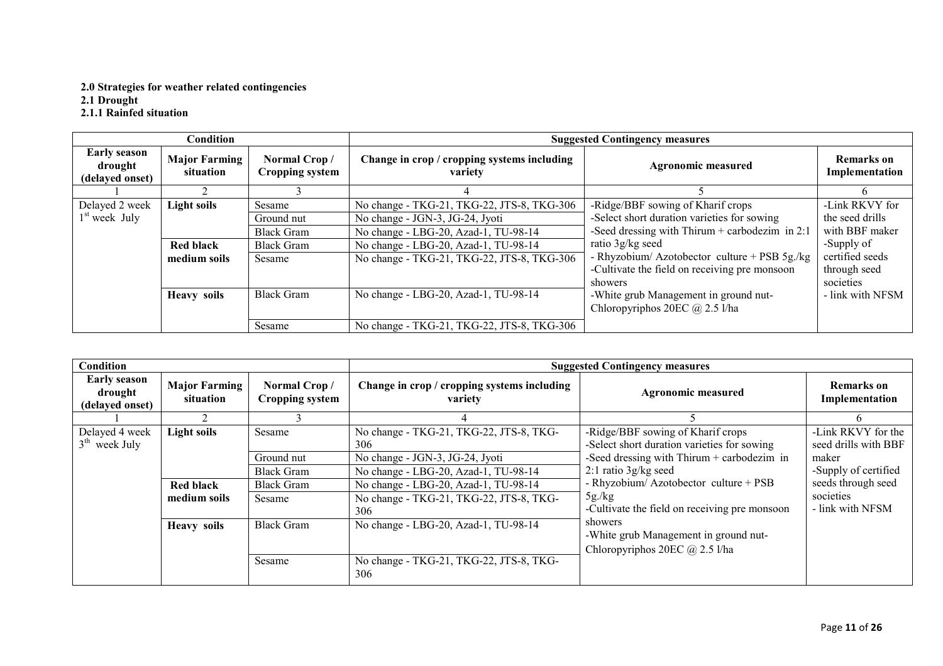# 2.0 Strategies for weather related contingencies

2.1 Drought<br>2.1.1 Rainfed situation

|                                                   | <b>Condition</b>                  |                                        |                                                                                     | <b>Suggested Contingency measures</b>            |                              |
|---------------------------------------------------|-----------------------------------|----------------------------------------|-------------------------------------------------------------------------------------|--------------------------------------------------|------------------------------|
| <b>Early season</b><br>drought<br>(delayed onset) | <b>Major Farming</b><br>situation | Normal Crop/<br><b>Cropping system</b> | Change in crop / cropping systems including<br><b>Agronomic measured</b><br>variety |                                                  | Remarks on<br>Implementation |
|                                                   |                                   |                                        |                                                                                     |                                                  |                              |
| Delayed 2 week                                    | <b>Light soils</b>                | Sesame                                 | No change - TKG-21, TKG-22, JTS-8, TKG-306                                          | -Ridge/BBF sowing of Kharif crops                | -Link RKVY for               |
| $1st$ week July                                   |                                   | Ground nut                             | No change - JGN-3, JG-24, Jyoti                                                     | -Select short duration varieties for sowing      | the seed drills              |
|                                                   |                                   | <b>Black Gram</b>                      | No change - LBG-20, Azad-1, TU-98-14                                                | -Seed dressing with Thirum $+$ carbodezim in 2:1 | with BBF maker               |
|                                                   | <b>Red black</b>                  | <b>Black Gram</b>                      | No change - LBG-20, Azad-1, TU-98-14                                                | ratio 3g/kg seed                                 | -Supply of                   |
|                                                   | medium soils                      | Sesame                                 | No change - TKG-21, TKG-22, JTS-8, TKG-306                                          | - Rhyzobium/ Azotobector culture + PSB 5g./kg    | certified seeds              |
|                                                   |                                   |                                        |                                                                                     | -Cultivate the field on receiving pre monsoon    | through seed                 |
|                                                   |                                   |                                        |                                                                                     | showers                                          | societies                    |
|                                                   | <b>Heavy soils</b>                | <b>Black Gram</b>                      | No change - LBG-20, Azad-1, TU-98-14                                                | -White grub Management in ground nut-            | - link with NFSM             |
|                                                   |                                   |                                        |                                                                                     | Chloropyriphos 20EC $@$ 2.5 l/ha                 |                              |
|                                                   |                                   | Sesame                                 | No change - TKG-21, TKG-22, JTS-8, TKG-306                                          |                                                  |                              |

| <b>Condition</b>                                  |                                   |                                        | <b>Suggested Contingency measures</b>                  |                                                                                        |                                            |  |
|---------------------------------------------------|-----------------------------------|----------------------------------------|--------------------------------------------------------|----------------------------------------------------------------------------------------|--------------------------------------------|--|
| <b>Early season</b><br>drought<br>(delayed onset) | <b>Major Farming</b><br>situation | Normal Crop/<br><b>Cropping system</b> | Change in crop / cropping systems including<br>variety | <b>Agronomic measured</b>                                                              | <b>Remarks on</b><br>Implementation        |  |
|                                                   |                                   |                                        |                                                        |                                                                                        | n.                                         |  |
| Delayed 4 week<br>$3th$ week July                 | <b>Light soils</b>                | Sesame                                 | No change - TKG-21, TKG-22, JTS-8, TKG-<br>306         | -Ridge/BBF sowing of Kharif crops<br>-Select short duration varieties for sowing       | -Link RKVY for the<br>seed drills with BBF |  |
|                                                   |                                   | Ground nut                             | No change - JGN-3, JG-24, Jyoti                        | -Seed dressing with Thirum $+$ carbodezim in                                           | maker                                      |  |
|                                                   |                                   | <b>Black Gram</b>                      | No change - LBG-20, Azad-1, TU-98-14                   | $2:1$ ratio $3g/kg$ seed                                                               | -Supply of certified                       |  |
|                                                   | <b>Red black</b>                  | <b>Black Gram</b>                      | No change - LBG-20, Azad-1, TU-98-14                   | - Rhyzobium/ Azotobector culture + PSB                                                 | seeds through seed                         |  |
|                                                   | medium soils                      | Sesame                                 | No change - TKG-21, TKG-22, JTS-8, TKG-<br>306         | 5g/kg<br>-Cultivate the field on receiving pre monsoon                                 | societies<br>- link with NFSM              |  |
|                                                   | <b>Heavy soils</b>                | <b>Black Gram</b>                      | No change - LBG-20, Azad-1, TU-98-14                   | showers<br>-White grub Management in ground nut-<br>Chloropyriphos 20EC $(a)$ 2.5 l/ha |                                            |  |
|                                                   |                                   | Sesame                                 | No change - TKG-21, TKG-22, JTS-8, TKG-<br>306         |                                                                                        |                                            |  |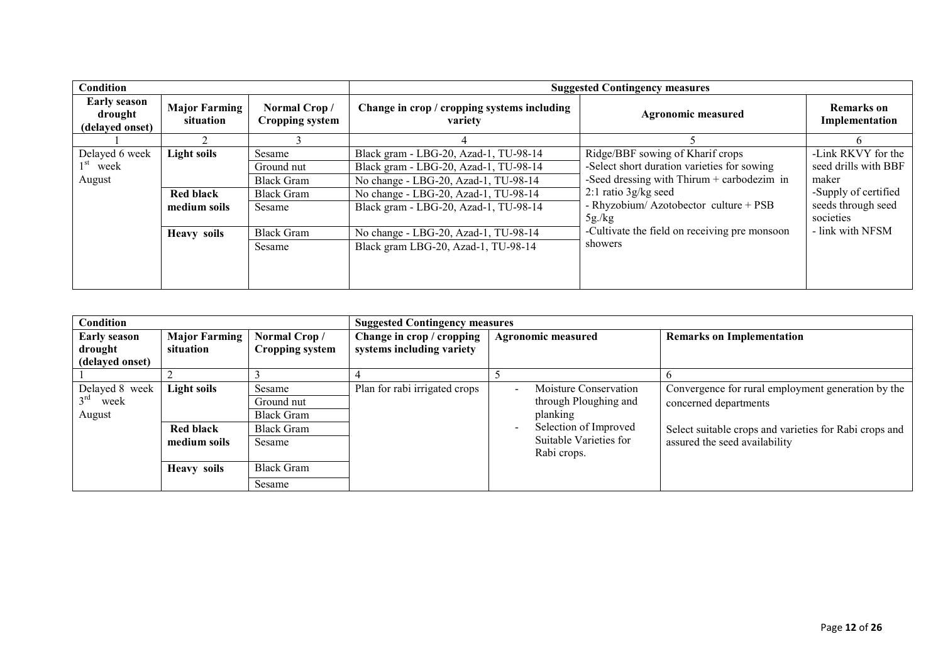| Condition                                         |                                                 |                                                                          |                                                                                                                                                                                                         | <b>Suggested Contingency measures</b>                                                                                                                                                                        |                                                                                                                |
|---------------------------------------------------|-------------------------------------------------|--------------------------------------------------------------------------|---------------------------------------------------------------------------------------------------------------------------------------------------------------------------------------------------------|--------------------------------------------------------------------------------------------------------------------------------------------------------------------------------------------------------------|----------------------------------------------------------------------------------------------------------------|
| <b>Early season</b><br>drought<br>(delayed onset) | <b>Major Farming</b><br>situation               | Normal Crop/<br>Cropping system                                          | Change in crop / cropping systems including<br>variety                                                                                                                                                  | Agronomic measured                                                                                                                                                                                           | Remarks on<br>Implementation                                                                                   |
|                                                   |                                                 |                                                                          |                                                                                                                                                                                                         |                                                                                                                                                                                                              |                                                                                                                |
| Delayed 6 week<br>$1st$ week<br>August            | Light soils<br><b>Red black</b><br>medium soils | Sesame<br>Ground nut<br><b>Black Gram</b><br><b>Black Gram</b><br>Sesame | Black gram - LBG-20, Azad-1, TU-98-14<br>Black gram - LBG-20, Azad-1, TU-98-14<br>No change - LBG-20, Azad-1, TU-98-14<br>No change - LBG-20, Azad-1, TU-98-14<br>Black gram - LBG-20, Azad-1, TU-98-14 | Ridge/BBF sowing of Kharif crops<br>-Select short duration varieties for sowing<br>-Seed dressing with Thirum $+$ carbodezim in<br>$2:1$ ratio 3g/kg seed<br>- Rhyzobium/ Azotobector culture + PSB<br>5g/kg | -Link RKVY for the<br>seed drills with BBF<br>maker<br>-Supply of certified<br>seeds through seed<br>societies |
|                                                   | <b>Heavy soils</b>                              | <b>Black Gram</b><br>Sesame                                              | No change - LBG-20, Azad-1, TU-98-14<br>Black gram LBG-20, Azad-1, TU-98-14                                                                                                                             | -Cultivate the field on receiving pre monsoon<br>showers                                                                                                                                                     | - link with NFSM                                                                                               |

| <b>Condition</b>                                  |                            |                                 |                                                        | <b>Suggested Contingency measures</b>          |                                                        |  |  |
|---------------------------------------------------|----------------------------|---------------------------------|--------------------------------------------------------|------------------------------------------------|--------------------------------------------------------|--|--|
| <b>Early season</b><br>drought<br>(delayed onset) | Major Farming<br>situation | Normal Crop/<br>Cropping system | Change in crop / cropping<br>systems including variety | <b>Agronomic measured</b>                      | <b>Remarks on Implementation</b>                       |  |  |
|                                                   |                            |                                 |                                                        |                                                |                                                        |  |  |
| Delayed 8 week                                    | <b>Light soils</b>         | Sesame                          | Plan for rabi irrigated crops                          | <b>Moisture Conservation</b><br>$\blacksquare$ | Convergence for rural employment generation by the     |  |  |
| week                                              |                            | Ground nut                      |                                                        | through Ploughing and                          | concerned departments                                  |  |  |
| August                                            |                            | <b>Black Gram</b>               |                                                        | planking                                       |                                                        |  |  |
|                                                   | <b>Red black</b>           | <b>Black Gram</b>               |                                                        | Selection of Improved<br>$\blacksquare$        | Select suitable crops and varieties for Rabi crops and |  |  |
|                                                   | medium soils               | Sesame                          |                                                        | Suitable Varieties for<br>Rabi crops.          | assured the seed availability                          |  |  |
|                                                   | <b>Heavy soils</b>         | <b>Black Gram</b>               |                                                        |                                                |                                                        |  |  |
|                                                   |                            | Sesame                          |                                                        |                                                |                                                        |  |  |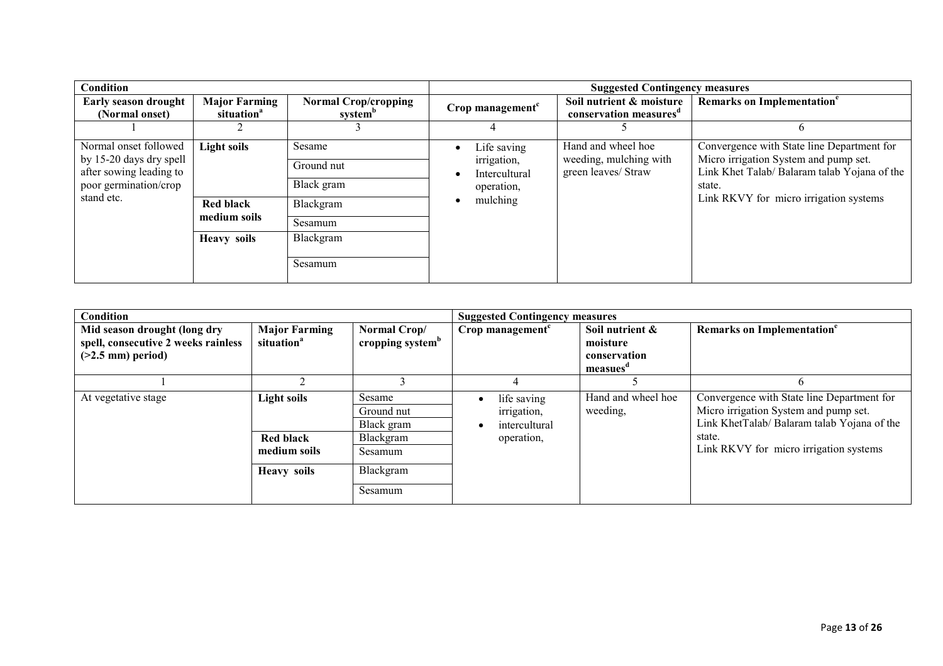| Condition                                                                                                          |                                                                              |                                                                                    |                                                                       | <b>Suggested Contingency measures</b>                               |                                                                                                                                                                                         |  |  |
|--------------------------------------------------------------------------------------------------------------------|------------------------------------------------------------------------------|------------------------------------------------------------------------------------|-----------------------------------------------------------------------|---------------------------------------------------------------------|-----------------------------------------------------------------------------------------------------------------------------------------------------------------------------------------|--|--|
| <b>Early season drought</b><br>(Normal onset)                                                                      | <b>Major Farming</b><br>situation <sup>a</sup>                               | <b>Normal Crop/cropping</b><br>system <sup>b</sup>                                 | Crop management <sup>c</sup>                                          | Soil nutrient & moisture<br>conservation measures <sup>d</sup>      | Remarks on Implementation <sup>e</sup>                                                                                                                                                  |  |  |
|                                                                                                                    |                                                                              |                                                                                    |                                                                       |                                                                     |                                                                                                                                                                                         |  |  |
| Normal onset followed<br>by 15-20 days dry spell<br>after sowing leading to<br>poor germination/crop<br>stand etc. | <b>Light soils</b><br><b>Red black</b><br>medium soils<br><b>Heavy soils</b> | Sesame<br>Ground nut<br>Black gram<br>Blackgram<br>Sesamum<br>Blackgram<br>Sesamum | Life saving<br>irrigation,<br>Intercultural<br>operation,<br>mulching | Hand and wheel hoe<br>weeding, mulching with<br>green leaves/ Straw | Convergence with State line Department for<br>Micro irrigation System and pump set.<br>Link Khet Talab/ Balaram talab Yojana of the<br>state.<br>Link RKVY for micro irrigation systems |  |  |

| Condition                                                                                  |                                                |                                              | <b>Suggested Contingency measures</b>       |                                                        |                                                                                                                                    |
|--------------------------------------------------------------------------------------------|------------------------------------------------|----------------------------------------------|---------------------------------------------|--------------------------------------------------------|------------------------------------------------------------------------------------------------------------------------------------|
| Mid season drought (long dry<br>spell, consecutive 2 weeks rainless<br>$(>2.5$ mm) period) | <b>Major Farming</b><br>situation <sup>a</sup> | Normal Crop/<br>cropping system <sup>b</sup> | Crop management <sup>c</sup>                | Soil nutrient &<br>moisture<br>conservation<br>measues | Remarks on Implementation <sup>e</sup>                                                                                             |
|                                                                                            |                                                |                                              |                                             |                                                        |                                                                                                                                    |
| At vegetative stage                                                                        | Light soils                                    | Sesame<br>Ground nut<br>Black gram           | life saving<br>irrigation,<br>intercultural | Hand and wheel hoe<br>weeding,                         | Convergence with State line Department for<br>Micro irrigation System and pump set.<br>Link KhetTalab/ Balaram talab Yojana of the |
|                                                                                            | <b>Red black</b><br>medium soils               | Blackgram<br>Sesamum                         | operation,                                  |                                                        | state.<br>Link RKVY for micro irrigation systems                                                                                   |
|                                                                                            | <b>Heavy soils</b>                             | Blackgram<br>Sesamum                         |                                             |                                                        |                                                                                                                                    |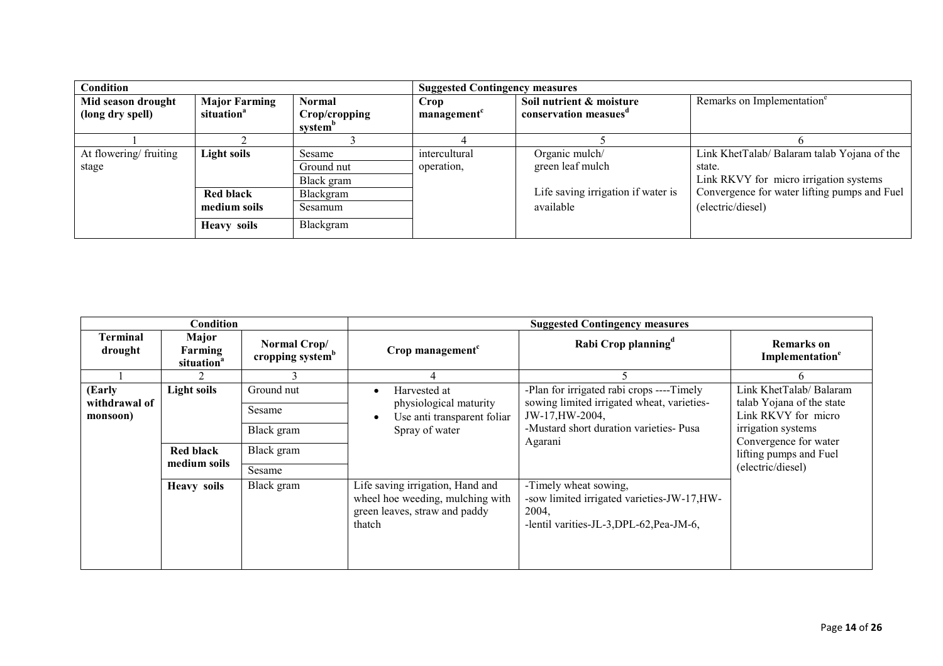| Condition                              |                                                |                                                | <b>Suggested Contingency measures</b> |                                                               |                                              |  |
|----------------------------------------|------------------------------------------------|------------------------------------------------|---------------------------------------|---------------------------------------------------------------|----------------------------------------------|--|
| Mid season drought<br>(long dry spell) | <b>Major Farming</b><br>situation <sup>a</sup> | Normal<br>Crop/cropping<br>system <sup>o</sup> | Crop<br>management                    | Soil nutrient & moisture<br>conservation measues <sup>a</sup> | Remarks on Implementation <sup>e</sup>       |  |
|                                        |                                                |                                                |                                       |                                                               |                                              |  |
| At flowering/fruiting                  | <b>Light soils</b>                             | Sesame                                         | intercultural                         | Organic mulch/                                                | Link KhetTalab/Balaram talab Yojana of the   |  |
| stage                                  |                                                | Ground nut                                     | operation,                            | green leaf mulch                                              | state.                                       |  |
|                                        |                                                | Black gram                                     |                                       |                                                               | Link RKVY for micro irrigation systems       |  |
|                                        | <b>Red black</b>                               | Blackgram                                      |                                       | Life saving irrigation if water is                            | Convergence for water lifting pumps and Fuel |  |
|                                        | medium soils                                   | Sesamum                                        |                                       | available                                                     | (electric/diesel)                            |  |
|                                        | <b>Heavy soils</b>                             | Blackgram                                      |                                       |                                                               |                                              |  |

|                                     | Condition                                                                                                           |                                                                                                            | <b>Suggested Contingency measures</b>                                                                           |                                                                                                                           |                                                  |  |  |
|-------------------------------------|---------------------------------------------------------------------------------------------------------------------|------------------------------------------------------------------------------------------------------------|-----------------------------------------------------------------------------------------------------------------|---------------------------------------------------------------------------------------------------------------------------|--------------------------------------------------|--|--|
| Terminal<br>drought                 | Major<br>Farming<br>situation <sup>a</sup>                                                                          | Normal Crop/<br>cropping system <sup>b</sup>                                                               | Crop management <sup>c</sup>                                                                                    | Rabi Crop planning <sup>d</sup>                                                                                           | <b>Remarks</b> on<br>Implementation <sup>e</sup> |  |  |
|                                     |                                                                                                                     |                                                                                                            |                                                                                                                 |                                                                                                                           |                                                  |  |  |
| (Early<br>withdrawal of<br>monsoon) | <b>Light soils</b><br>Ground nut<br>Harvested at<br>physiological maturity<br>Sesame<br>Use anti transparent foliar | -Plan for irrigated rabi crops ----Timely<br>sowing limited irrigated wheat, varieties-<br>JW-17, HW-2004, | Link KhetTalab/Balaram<br>talab Yojana of the state<br>Link RKVY for micro                                      |                                                                                                                           |                                                  |  |  |
|                                     | Black gram                                                                                                          |                                                                                                            | Spray of water                                                                                                  | -Mustard short duration varieties- Pusa<br>Agarani                                                                        | irrigation systems<br>Convergence for water      |  |  |
|                                     | <b>Red black</b><br>medium soils                                                                                    | Black gram                                                                                                 |                                                                                                                 |                                                                                                                           | lifting pumps and Fuel                           |  |  |
|                                     |                                                                                                                     | Sesame                                                                                                     |                                                                                                                 |                                                                                                                           | (electric/diesel)                                |  |  |
|                                     | <b>Heavy soils</b>                                                                                                  | Black gram                                                                                                 | Life saving irrigation, Hand and<br>wheel hoe weeding, mulching with<br>green leaves, straw and paddy<br>thatch | -Timely wheat sowing,<br>-sow limited irrigated varieties-JW-17, HW-<br>2004,<br>-lentil varities-JL-3, DPL-62, Pea-JM-6, |                                                  |  |  |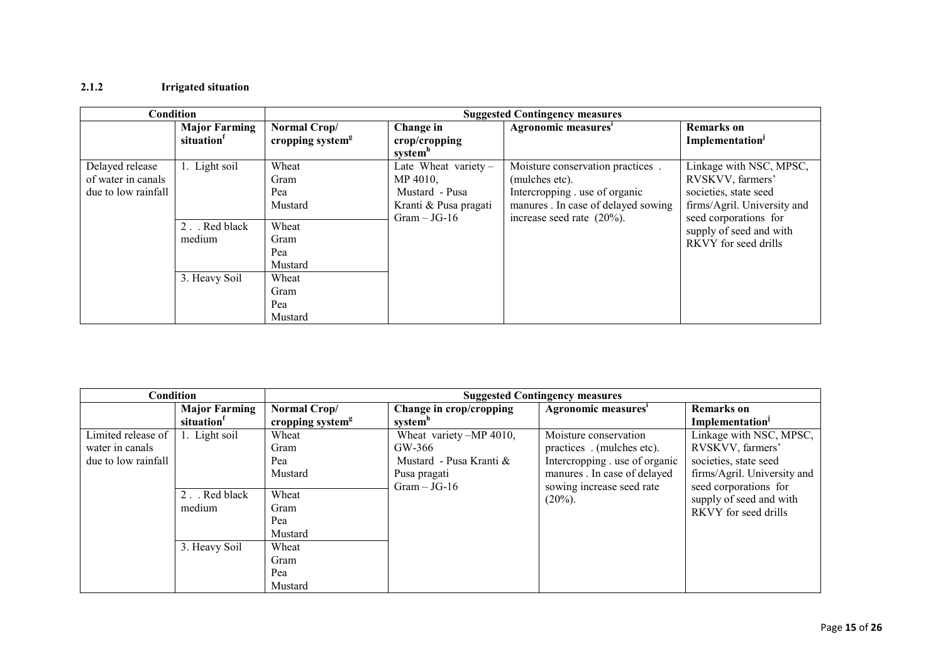### 2.1.2 Irrigated situation

| Condition                                                    |                                   |                                              |                                                                               | <b>Suggested Contingency measures</b>                                                                                       |                                                                                                     |
|--------------------------------------------------------------|-----------------------------------|----------------------------------------------|-------------------------------------------------------------------------------|-----------------------------------------------------------------------------------------------------------------------------|-----------------------------------------------------------------------------------------------------|
|                                                              | <b>Major Farming</b><br>situation | Normal Crop/<br>cropping system <sup>g</sup> | Change in<br>$\mathbf{crop/c}$ ropping<br>systemh                             | Agronomic measures <sup>i</sup>                                                                                             | <b>Remarks</b> on<br>Implementation <sup>J</sup>                                                    |
| Delayed release<br>of water in canals<br>due to low rainfall | 1. Light soil                     | Wheat<br>Gram<br>Pea<br>Mustard              | Late Wheat variety $-$<br>MP 4010,<br>Mustard - Pusa<br>Kranti & Pusa pragati | Moisture conservation practices.<br>(mulches etc).<br>Intercropping . use of organic<br>manures . In case of delayed sowing | Linkage with NSC, MPSC,<br>RVSKVV, farmers'<br>societies, state seed<br>firms/Agril. University and |
|                                                              | 2. Red black<br>medium            | Wheat<br>Gram<br>Pea<br>Mustard              | $Gram - JG-16$                                                                | increase seed rate $(20\%)$ .                                                                                               | seed corporations for<br>supply of seed and with<br>RKVY for seed drills                            |
|                                                              | 3. Heavy Soil                     | Wheat<br>Gram<br>Pea<br>Mustard              |                                                                               |                                                                                                                             |                                                                                                     |

| Condition                                                    |                                                | <b>Suggested Contingency measures</b>        |                                                                                              |                                                                                                                                                 |                                                                                                                              |  |
|--------------------------------------------------------------|------------------------------------------------|----------------------------------------------|----------------------------------------------------------------------------------------------|-------------------------------------------------------------------------------------------------------------------------------------------------|------------------------------------------------------------------------------------------------------------------------------|--|
|                                                              | <b>Major Farming</b><br>situation <sup>1</sup> | Normal Crop/<br>cropping system <sup>g</sup> | Change in crop/cropping<br>system"                                                           | Agronomic measures'                                                                                                                             | <b>Remarks</b> on<br>Implementation <sup>1</sup>                                                                             |  |
| Limited release of<br>water in canals<br>due to low rainfall | 1. Light soil                                  | Wheat<br>Gram<br>Pea<br>Mustard              | Wheat variety -MP 4010,<br>GW-366<br>Mustard - Pusa Kranti &<br>Pusa pragati<br>$Gram-JG-16$ | Moisture conservation<br>practices (mulches etc).<br>Intercropping . use of organic<br>manures. In case of delayed<br>sowing increase seed rate | Linkage with NSC, MPSC,<br>RVSKVV, farmers'<br>societies, state seed<br>firms/Agril. University and<br>seed corporations for |  |
|                                                              | 2. Red black<br>medium                         | Wheat<br>Gram<br>Pea<br>Mustard              |                                                                                              | $(20\%)$ .                                                                                                                                      | supply of seed and with<br>RKVY for seed drills                                                                              |  |
|                                                              | 3. Heavy Soil                                  | Wheat<br>Gram<br>Pea<br>Mustard              |                                                                                              |                                                                                                                                                 |                                                                                                                              |  |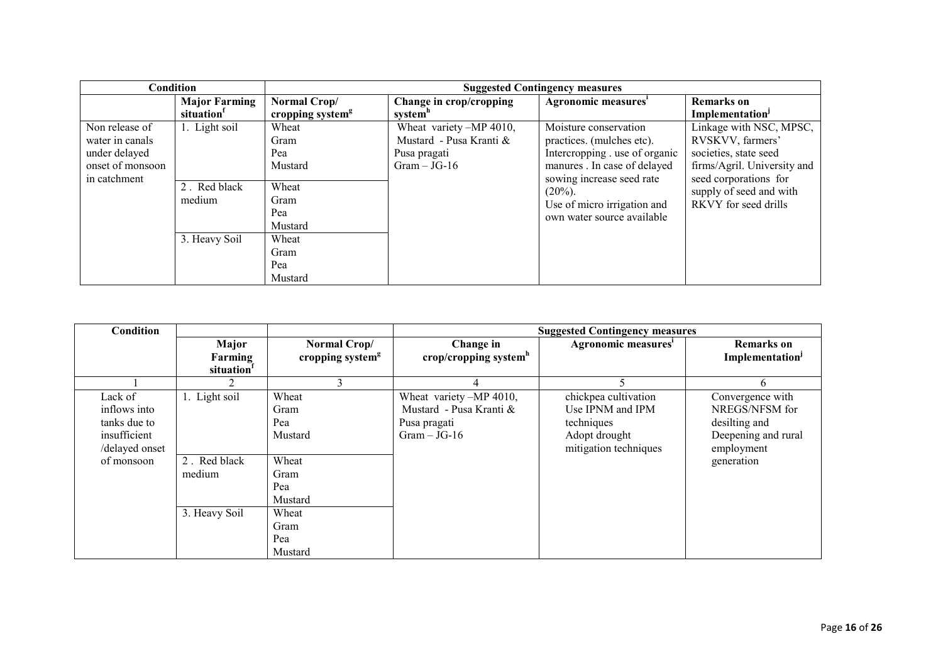|                                                                                        | <b>Condition</b>                  | <b>Suggested Contingency measures</b>        |                                                                                    |                                                                                                                                                  |                                                                                                                              |  |  |
|----------------------------------------------------------------------------------------|-----------------------------------|----------------------------------------------|------------------------------------------------------------------------------------|--------------------------------------------------------------------------------------------------------------------------------------------------|------------------------------------------------------------------------------------------------------------------------------|--|--|
|                                                                                        | <b>Major Farming</b><br>situation | Normal Crop/<br>cropping system <sup>g</sup> | Change in crop/cropping<br>system <sup>h</sup>                                     | Agronomic measures'                                                                                                                              | <b>Remarks</b> on<br>Implementation                                                                                          |  |  |
| Non release of<br>water in canals<br>under delayed<br>onset of monsoon<br>in catchment | 1. Light soil                     | Wheat<br>Gram<br>Pea<br>Mustard              | Wheat variety -MP 4010,<br>Mustard - Pusa Kranti &<br>Pusa pragati<br>$Gram-JG-16$ | Moisture conservation<br>practices. (mulches etc).<br>Intercropping . use of organic<br>manures. In case of delayed<br>sowing increase seed rate | Linkage with NSC, MPSC,<br>RVSKVV, farmers'<br>societies, state seed<br>firms/Agril. University and<br>seed corporations for |  |  |
|                                                                                        | 2. Red black<br>medium            | Wheat<br>Gram<br>Pea<br>Mustard              |                                                                                    | $(20\%)$ .<br>Use of micro irrigation and<br>own water source available                                                                          | supply of seed and with<br>RKVY for seed drills                                                                              |  |  |
|                                                                                        | 3. Heavy Soil                     | Wheat<br>Gram<br>Pea<br>Mustard              |                                                                                    |                                                                                                                                                  |                                                                                                                              |  |  |

| Condition                                                                               |                                            |                                                                    | <b>Suggested Contingency measures</b>                                                |                                                                                                  |                                                                                                        |  |
|-----------------------------------------------------------------------------------------|--------------------------------------------|--------------------------------------------------------------------|--------------------------------------------------------------------------------------|--------------------------------------------------------------------------------------------------|--------------------------------------------------------------------------------------------------------|--|
|                                                                                         | Major<br>Farming<br>situation <sup>1</sup> | Normal Crop/<br>cropping system <sup>g</sup>                       | Change in<br>crop/cropping system $h$                                                | Agronomic measures <sup>i</sup>                                                                  | <b>Remarks</b> on<br>Implementation                                                                    |  |
|                                                                                         |                                            | 3                                                                  | 4                                                                                    |                                                                                                  | h.                                                                                                     |  |
| Lack of<br>inflows into<br>tanks due to<br>insufficient<br>/delayed onset<br>of monsoon | 1. Light soil<br>2. Red black<br>medium    | Wheat<br>Gram<br>Pea<br>Mustard<br>Wheat<br>Gram<br>Pea<br>Mustard | Wheat variety -MP 4010,<br>Mustard - Pusa Kranti &<br>Pusa pragati<br>$Gram - JG-16$ | chickpea cultivation<br>Use IPNM and IPM<br>techniques<br>Adopt drought<br>mitigation techniques | Convergence with<br>NREGS/NFSM for<br>desilting and<br>Deepening and rural<br>employment<br>generation |  |
|                                                                                         | 3. Heavy Soil                              | Wheat<br>Gram<br>Pea<br>Mustard                                    |                                                                                      |                                                                                                  |                                                                                                        |  |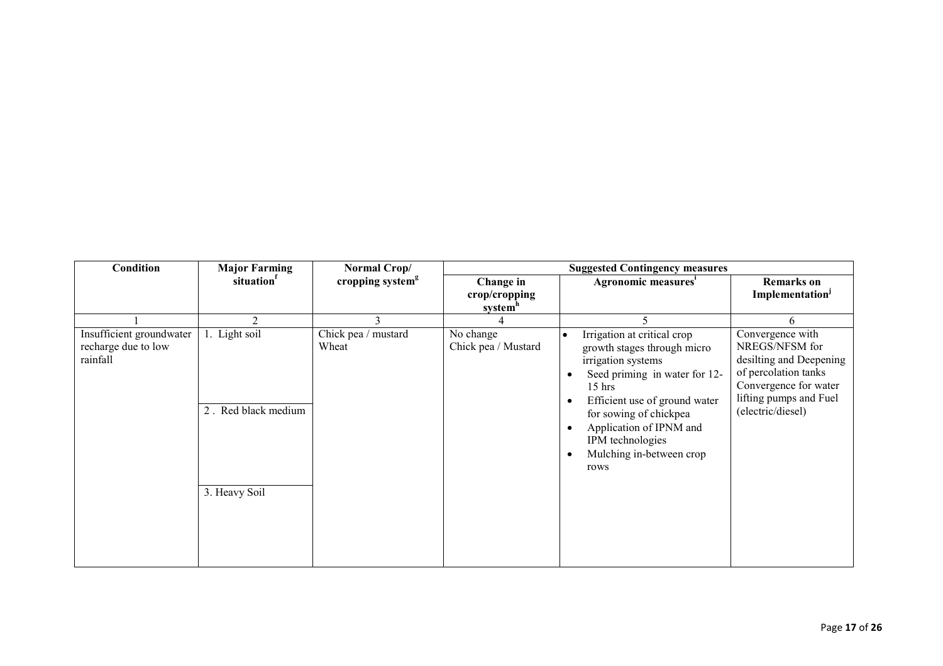| <b>Condition</b>                                            | <b>Major Farming</b>                                  | Normal Crop/                 | <b>Suggested Contingency measures</b>             |                                                                                                                                                                                                                                                                                                                    |                                                                                                                                                               |  |
|-------------------------------------------------------------|-------------------------------------------------------|------------------------------|---------------------------------------------------|--------------------------------------------------------------------------------------------------------------------------------------------------------------------------------------------------------------------------------------------------------------------------------------------------------------------|---------------------------------------------------------------------------------------------------------------------------------------------------------------|--|
|                                                             | situation <sup>f</sup>                                | cropping system <sup>g</sup> | Change in<br>crop/cropping<br>system <sup>h</sup> | Agronomic measures <sup>1</sup>                                                                                                                                                                                                                                                                                    | <b>Remarks</b> on<br>Implementation <sup>J</sup>                                                                                                              |  |
|                                                             | $\mathfrak{D}$                                        | 3                            |                                                   |                                                                                                                                                                                                                                                                                                                    | 6                                                                                                                                                             |  |
| Insufficient groundwater<br>recharge due to low<br>rainfall | 1. Light soil<br>2. Red black medium<br>3. Heavy Soil | Chick pea / mustard<br>Wheat | No change<br>Chick pea / Mustard                  | Irrigation at critical crop<br>growth stages through micro<br>irrigation systems<br>Seed priming in water for 12-<br>$15$ hrs<br>Efficient use of ground water<br>$\bullet$<br>for sowing of chickpea<br>Application of IPNM and<br>$\bullet$<br>IPM technologies<br>Mulching in-between crop<br>$\bullet$<br>rows | Convergence with<br>NREGS/NFSM for<br>desilting and Deepening<br>of percolation tanks<br>Convergence for water<br>lifting pumps and Fuel<br>(electric/diesel) |  |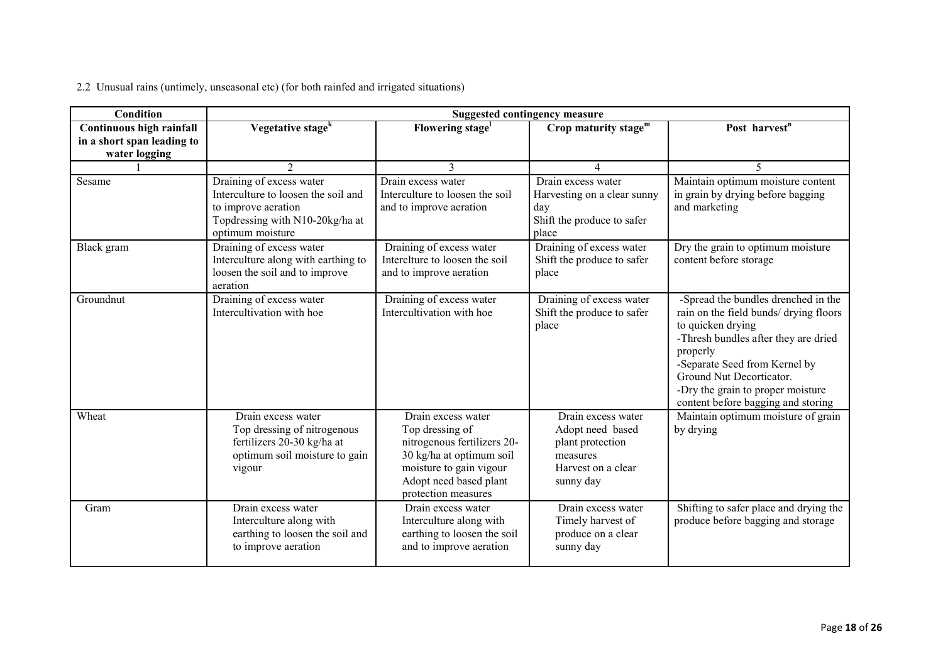| 2.2 Unusual rains (untimely, unseasonal etc) (for both rainfed and irrigated situations) |  |  |  |  |
|------------------------------------------------------------------------------------------|--|--|--|--|

| Condition                  | <b>Suggested contingency measure</b>                                                                                                          |                                                                                                                                                                              |                                                                                                           |                                                                                                                                                                                                                                                                                                |  |  |  |
|----------------------------|-----------------------------------------------------------------------------------------------------------------------------------------------|------------------------------------------------------------------------------------------------------------------------------------------------------------------------------|-----------------------------------------------------------------------------------------------------------|------------------------------------------------------------------------------------------------------------------------------------------------------------------------------------------------------------------------------------------------------------------------------------------------|--|--|--|
| Continuous high rainfall   | Vegetative stage <sup>k</sup>                                                                                                                 | Flowering stage <sup>1</sup>                                                                                                                                                 | Crop maturity stage <sup>m</sup>                                                                          | Post harvest <sup>n</sup>                                                                                                                                                                                                                                                                      |  |  |  |
| in a short span leading to |                                                                                                                                               |                                                                                                                                                                              |                                                                                                           |                                                                                                                                                                                                                                                                                                |  |  |  |
| water logging              | $\overline{2}$                                                                                                                                | 3                                                                                                                                                                            | 4                                                                                                         | 5                                                                                                                                                                                                                                                                                              |  |  |  |
| Sesame                     | Draining of excess water<br>Interculture to loosen the soil and<br>to improve aeration<br>Topdressing with N10-20kg/ha at<br>optimum moisture | Drain excess water<br>Interculture to loosen the soil<br>and to improve aeration                                                                                             | Drain excess water<br>Harvesting on a clear sunny<br>day<br>Shift the produce to safer<br>place           | Maintain optimum moisture content<br>in grain by drying before bagging<br>and marketing                                                                                                                                                                                                        |  |  |  |
| Black gram                 | Draining of excess water<br>Interculture along with earthing to<br>loosen the soil and to improve<br>aeration                                 | Draining of excess water<br>Interclture to loosen the soil<br>and to improve aeration                                                                                        | Draining of excess water<br>Shift the produce to safer<br>place                                           | Dry the grain to optimum moisture<br>content before storage                                                                                                                                                                                                                                    |  |  |  |
| Groundnut                  | Draining of excess water<br>Intercultivation with hoe                                                                                         | Draining of excess water<br>Intercultivation with hoe                                                                                                                        | Draining of excess water<br>Shift the produce to safer<br>place                                           | -Spread the bundles drenched in the<br>rain on the field bunds/ drying floors<br>to quicken drying<br>-Thresh bundles after they are dried<br>properly<br>-Separate Seed from Kernel by<br>Ground Nut Decorticator.<br>-Dry the grain to proper moisture<br>content before bagging and storing |  |  |  |
| Wheat                      | Drain excess water<br>Top dressing of nitrogenous<br>fertilizers 20-30 kg/ha at<br>optimum soil moisture to gain<br>vigour                    | Drain excess water<br>Top dressing of<br>nitrogenous fertilizers 20-<br>30 kg/ha at optimum soil<br>moisture to gain vigour<br>Adopt need based plant<br>protection measures | Drain excess water<br>Adopt need based<br>plant protection<br>measures<br>Harvest on a clear<br>sunny day | Maintain optimum moisture of grain<br>by drying                                                                                                                                                                                                                                                |  |  |  |
| Gram                       | Drain excess water<br>Interculture along with<br>earthing to loosen the soil and<br>to improve aeration                                       | Drain excess water<br>Interculture along with<br>earthing to loosen the soil<br>and to improve aeration                                                                      | Drain excess water<br>Timely harvest of<br>produce on a clear<br>sunny day                                | Shifting to safer place and drying the<br>produce before bagging and storage                                                                                                                                                                                                                   |  |  |  |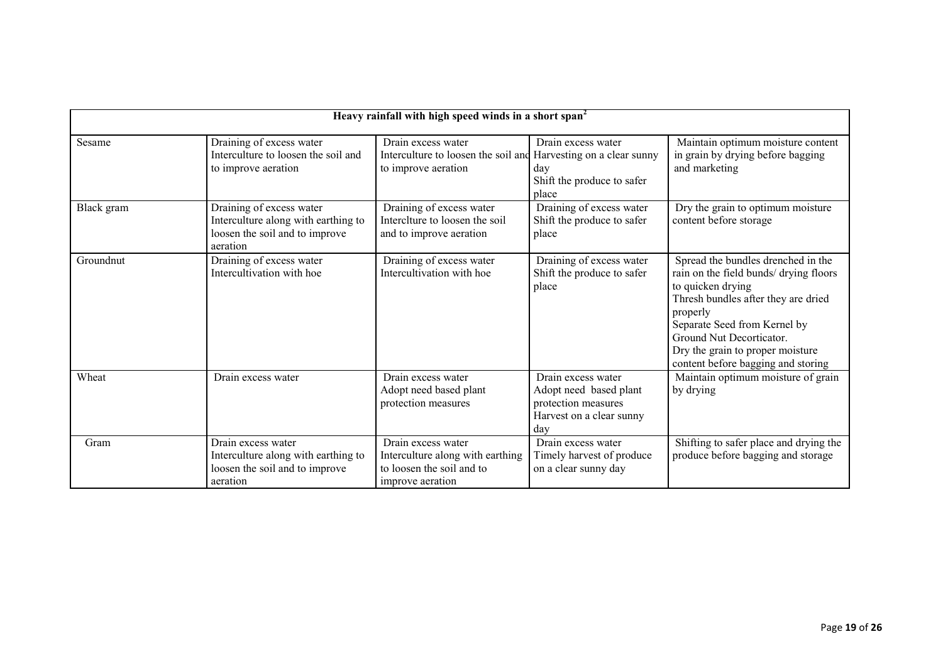|            | Heavy rainfall with high speed winds in a short span <sup>2</sup>                                             |                                                                                                              |                                                                                                        |                                                                                                                                                                                                                                                                                            |  |  |  |  |
|------------|---------------------------------------------------------------------------------------------------------------|--------------------------------------------------------------------------------------------------------------|--------------------------------------------------------------------------------------------------------|--------------------------------------------------------------------------------------------------------------------------------------------------------------------------------------------------------------------------------------------------------------------------------------------|--|--|--|--|
| Sesame     | Draining of excess water<br>Interculture to loosen the soil and<br>to improve aeration                        | Drain excess water<br>Interculture to loosen the soil and Harvesting on a clear sunny<br>to improve aeration | Drain excess water<br>day<br>Shift the produce to safer<br>place                                       | Maintain optimum moisture content<br>in grain by drying before bagging<br>and marketing                                                                                                                                                                                                    |  |  |  |  |
| Black gram | Draining of excess water<br>Interculture along with earthing to<br>loosen the soil and to improve<br>aeration | Draining of excess water<br>Interclture to loosen the soil<br>and to improve aeration                        | Draining of excess water<br>Shift the produce to safer<br>place                                        | Dry the grain to optimum moisture<br>content before storage                                                                                                                                                                                                                                |  |  |  |  |
| Groundnut  | Draining of excess water<br>Intercultivation with hoe                                                         | Draining of excess water<br>Intercultivation with hoe                                                        | Draining of excess water<br>Shift the produce to safer<br>place                                        | Spread the bundles drenched in the<br>rain on the field bunds/ drying floors<br>to quicken drying<br>Thresh bundles after they are dried<br>properly<br>Separate Seed from Kernel by<br>Ground Nut Decorticator.<br>Dry the grain to proper moisture<br>content before bagging and storing |  |  |  |  |
| Wheat      | Drain excess water                                                                                            | Drain excess water<br>Adopt need based plant<br>protection measures                                          | Drain excess water<br>Adopt need based plant<br>protection measures<br>Harvest on a clear sunny<br>dav | Maintain optimum moisture of grain<br>by drying                                                                                                                                                                                                                                            |  |  |  |  |
| Gram       | Drain excess water<br>Interculture along with earthing to<br>loosen the soil and to improve<br>aeration       | Drain excess water<br>Interculture along with earthing<br>to loosen the soil and to<br>improve aeration      | Drain excess water<br>Timely harvest of produce<br>on a clear sunny day                                | Shifting to safer place and drying the<br>produce before bagging and storage                                                                                                                                                                                                               |  |  |  |  |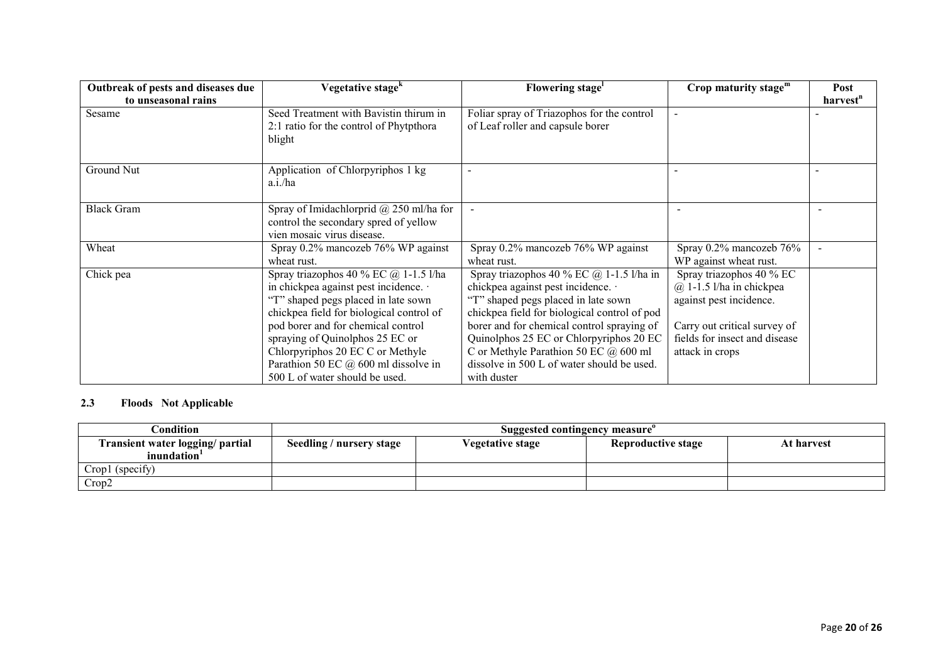| Vegetative stage <sup>k</sup>                                                                                                                                                                                                                                                                                            | Flowering stage <sup>1</sup>                                                                                                                                                                                                                                                                                                                           | Crop maturity stage $m$                                                                                                                                                 | Post                 |
|--------------------------------------------------------------------------------------------------------------------------------------------------------------------------------------------------------------------------------------------------------------------------------------------------------------------------|--------------------------------------------------------------------------------------------------------------------------------------------------------------------------------------------------------------------------------------------------------------------------------------------------------------------------------------------------------|-------------------------------------------------------------------------------------------------------------------------------------------------------------------------|----------------------|
|                                                                                                                                                                                                                                                                                                                          |                                                                                                                                                                                                                                                                                                                                                        |                                                                                                                                                                         | harvest <sup>n</sup> |
| Seed Treatment with Bavistin thirum in                                                                                                                                                                                                                                                                                   | Foliar spray of Triazophos for the control                                                                                                                                                                                                                                                                                                             |                                                                                                                                                                         |                      |
| 2:1 ratio for the control of Phytpthora<br>blight                                                                                                                                                                                                                                                                        | of Leaf roller and capsule borer                                                                                                                                                                                                                                                                                                                       |                                                                                                                                                                         |                      |
| Application of Chlorpyriphos 1 kg<br>$a.i.$ /ha                                                                                                                                                                                                                                                                          | $\overline{\phantom{a}}$                                                                                                                                                                                                                                                                                                                               |                                                                                                                                                                         |                      |
| Spray of Imidachlorprid $\omega$ 250 ml/ha for<br>control the secondary spred of yellow<br>vien mosaic virus disease.                                                                                                                                                                                                    |                                                                                                                                                                                                                                                                                                                                                        |                                                                                                                                                                         |                      |
| Spray 0.2% mancozeb 76% WP against<br>wheat rust.                                                                                                                                                                                                                                                                        | Spray $0.2\%$ mancozeb 76% WP against<br>wheat rust.                                                                                                                                                                                                                                                                                                   | Spray $0.2\%$ mancozeb $76\%$<br>WP against wheat rust.                                                                                                                 |                      |
| Spray triazophos 40 % EC $@$ 1-1.5 l/ha<br>in chickpea against pest incidence.<br>"T" shaped pegs placed in late sown<br>chickpea field for biological control of<br>pod borer and for chemical control<br>spraying of Quinolphos 25 EC or<br>Chlorpyriphos 20 EC C or Methyle<br>Parathion 50 EC $@$ 600 ml dissolve in | Spray triazophos 40 % EC $@$ 1-1.5 l/ha in<br>chickpea against pest incidence.<br>"T" shaped pegs placed in late sown<br>chickpea field for biological control of pod<br>borer and for chemical control spraying of<br>Quinolphos 25 EC or Chlorpyriphos 20 EC<br>C or Methyle Parathion 50 EC $@600$ ml<br>dissolve in 500 L of water should be used. | Spray triazophos 40 % EC<br>$(a)$ 1-1.5 l/ha in chickpea<br>against pest incidence.<br>Carry out critical survey of<br>fields for insect and disease<br>attack in crops |                      |
|                                                                                                                                                                                                                                                                                                                          | 500 L of water should be used.                                                                                                                                                                                                                                                                                                                         | with duster                                                                                                                                                             |                      |

### 2.3 Floods Not Applicable

| Condition                                      | Suggested contingency measure |                  |                    |            |  |  |
|------------------------------------------------|-------------------------------|------------------|--------------------|------------|--|--|
| Transient water logging/ partial<br>inundation | Seedling / nursery stage      | Vegetative stage | Reproductive stage | At harvest |  |  |
| Crop1 (specify)                                |                               |                  |                    |            |  |  |
| Crop2                                          |                               |                  |                    |            |  |  |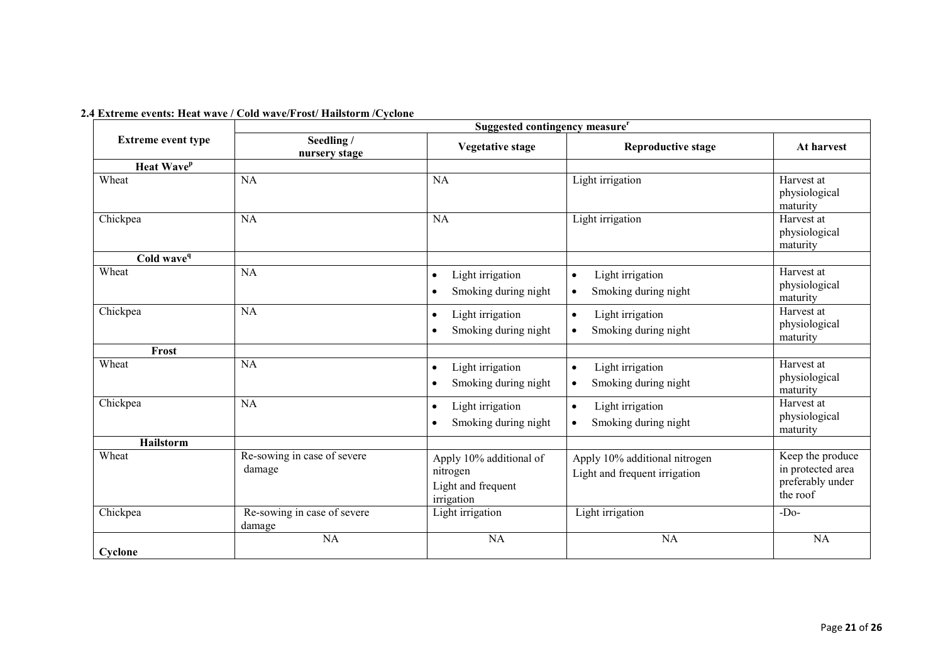|                           | Suggested contingency measure <sup>r</sup> |                                                                         |                                                                    |                                                                       |  |
|---------------------------|--------------------------------------------|-------------------------------------------------------------------------|--------------------------------------------------------------------|-----------------------------------------------------------------------|--|
| <b>Extreme event type</b> | Seedling /<br>nursery stage                | <b>Vegetative stage</b>                                                 | <b>Reproductive stage</b>                                          | At harvest                                                            |  |
| Heat Wave <sup>p</sup>    |                                            |                                                                         |                                                                    |                                                                       |  |
| Wheat                     | <b>NA</b>                                  | <b>NA</b>                                                               | Light irrigation                                                   | Harvest at<br>physiological<br>maturity                               |  |
| Chickpea                  | <b>NA</b>                                  | <b>NA</b>                                                               | Light irrigation                                                   | Harvest at<br>physiological<br>maturity                               |  |
| Cold wave <sup>q</sup>    |                                            |                                                                         |                                                                    |                                                                       |  |
| Wheat                     | <b>NA</b>                                  | Light irrigation<br>$\bullet$<br>Smoking during night                   | Light irrigation<br>$\bullet$<br>Smoking during night<br>$\bullet$ | Harvest at<br>physiological<br>maturity                               |  |
| Chickpea                  | NA                                         | Light irrigation<br>$\bullet$<br>Smoking during night                   | Light irrigation<br>$\bullet$<br>Smoking during night<br>$\bullet$ | Harvest at<br>physiological<br>maturity                               |  |
| Frost                     |                                            |                                                                         |                                                                    |                                                                       |  |
| Wheat                     | NA                                         | Light irrigation<br>$\bullet$<br>Smoking during night                   | Light irrigation<br>$\bullet$<br>Smoking during night<br>$\bullet$ | Harvest at<br>physiological<br>maturity                               |  |
| Chickpea                  | <b>NA</b>                                  | Light irrigation<br>$\bullet$<br>Smoking during night                   | Light irrigation<br>$\bullet$<br>Smoking during night<br>$\bullet$ | Harvest at<br>physiological<br>maturity                               |  |
| Hailstorm                 |                                            |                                                                         |                                                                    |                                                                       |  |
| Wheat                     | Re-sowing in case of severe<br>damage      | Apply 10% additional of<br>nitrogen<br>Light and frequent<br>irrigation | Apply 10% additional nitrogen<br>Light and frequent irrigation     | Keep the produce<br>in protected area<br>preferably under<br>the roof |  |
| Chickpea                  | Re-sowing in case of severe<br>damage      | Light irrigation                                                        | Light irrigation                                                   | $-Do-$                                                                |  |
| Cyclone                   | NA                                         | <b>NA</b>                                                               | NA                                                                 | NA                                                                    |  |

### 2.4 Extreme events: Heat wave / Cold wave/Frost/ Hailstorm /Cyclone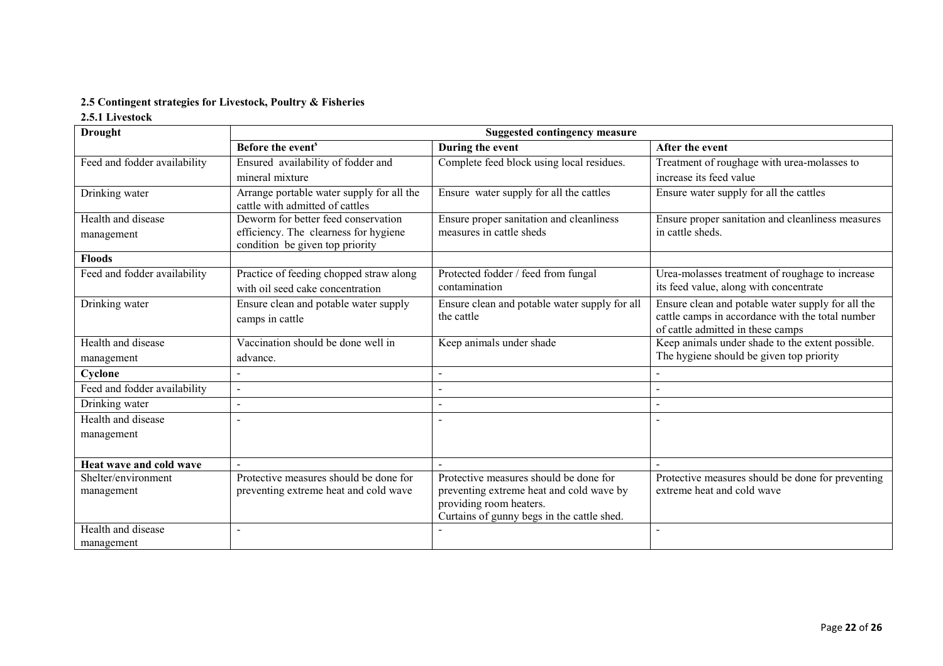### 2.5 Contingent strategies for Livestock, Poultry & Fisheries

## 2.5.1 Livestock

| <b>Drought</b>               | <b>Suggested contingency measure</b>                                         |                                                                       |                                                                                                                                            |  |
|------------------------------|------------------------------------------------------------------------------|-----------------------------------------------------------------------|--------------------------------------------------------------------------------------------------------------------------------------------|--|
|                              | Before the event <sup>s</sup>                                                | During the event                                                      | After the event                                                                                                                            |  |
| Feed and fodder availability | Ensured availability of fodder and                                           | Complete feed block using local residues.                             | Treatment of roughage with urea-molasses to                                                                                                |  |
|                              | mineral mixture                                                              |                                                                       | increase its feed value                                                                                                                    |  |
| Drinking water               | Arrange portable water supply for all the<br>cattle with admitted of cattles | Ensure water supply for all the cattles                               | Ensure water supply for all the cattles                                                                                                    |  |
| Health and disease           | Deworm for better feed conservation                                          | Ensure proper sanitation and cleanliness                              | Ensure proper sanitation and cleanliness measures                                                                                          |  |
| management                   | efficiency. The clearness for hygiene<br>condition be given top priority     | measures in cattle sheds                                              | in cattle sheds.                                                                                                                           |  |
| <b>Floods</b>                |                                                                              |                                                                       |                                                                                                                                            |  |
| Feed and fodder availability | Practice of feeding chopped straw along<br>with oil seed cake concentration  | Protected fodder / feed from fungal<br>contamination                  | Urea-molasses treatment of roughage to increase<br>its feed value, along with concentrate                                                  |  |
| Drinking water               | Ensure clean and potable water supply<br>camps in cattle                     | Ensure clean and potable water supply for all<br>the cattle           | Ensure clean and potable water supply for all the<br>cattle camps in accordance with the total number<br>of cattle admitted in these camps |  |
| Health and disease           | Vaccination should be done well in                                           | Keep animals under shade                                              | Keep animals under shade to the extent possible.                                                                                           |  |
| management                   | advance.                                                                     |                                                                       | The hygiene should be given top priority                                                                                                   |  |
| Cyclone                      | $\overline{\phantom{a}}$                                                     |                                                                       |                                                                                                                                            |  |
| Feed and fodder availability | $\overline{a}$                                                               |                                                                       |                                                                                                                                            |  |
| Drinking water               | $\overline{\phantom{a}}$                                                     |                                                                       |                                                                                                                                            |  |
| Health and disease           |                                                                              |                                                                       |                                                                                                                                            |  |
| management                   |                                                                              |                                                                       |                                                                                                                                            |  |
| Heat wave and cold wave      |                                                                              |                                                                       |                                                                                                                                            |  |
| Shelter/environment          | Protective measures should be done for                                       | Protective measures should be done for                                | Protective measures should be done for preventing                                                                                          |  |
| management                   | preventing extreme heat and cold wave                                        | preventing extreme heat and cold wave by                              | extreme heat and cold wave                                                                                                                 |  |
|                              |                                                                              | providing room heaters.<br>Curtains of gunny begs in the cattle shed. |                                                                                                                                            |  |
| Health and disease           |                                                                              |                                                                       |                                                                                                                                            |  |
| management                   |                                                                              |                                                                       |                                                                                                                                            |  |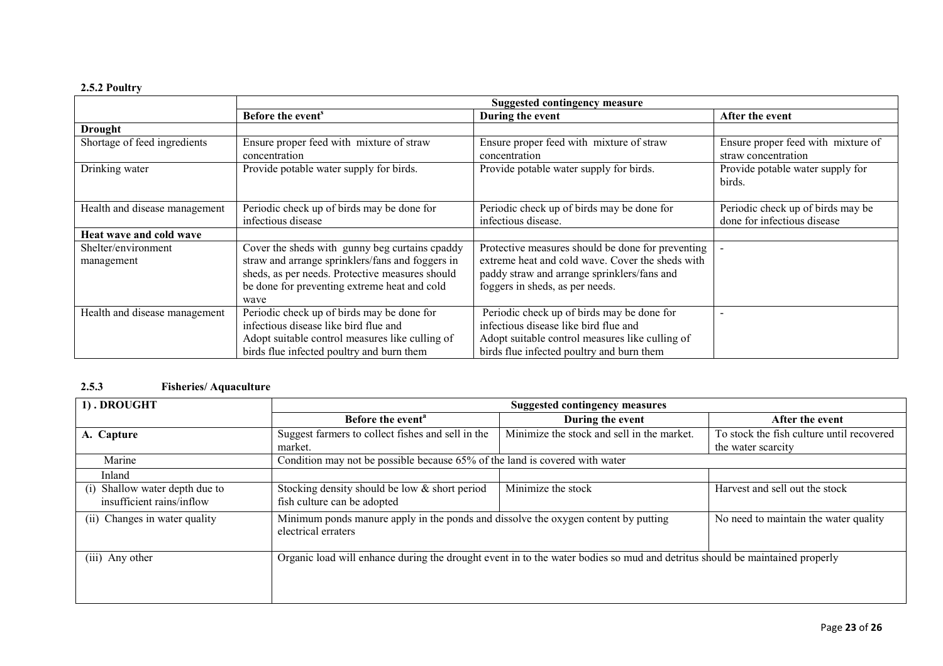# 2.5.2 Poultry

|                               | <b>Suggested contingency measure</b>             |                                                   |                                    |
|-------------------------------|--------------------------------------------------|---------------------------------------------------|------------------------------------|
|                               | Before the event <sup>s</sup>                    | During the event                                  | After the event                    |
| Drought                       |                                                  |                                                   |                                    |
| Shortage of feed ingredients  | Ensure proper feed with mixture of straw         | Ensure proper feed with mixture of straw          | Ensure proper feed with mixture of |
|                               | concentration                                    | concentration                                     | straw concentration                |
| Drinking water                | Provide potable water supply for birds.          | Provide potable water supply for birds.           | Provide potable water supply for   |
|                               |                                                  |                                                   | birds.                             |
|                               |                                                  |                                                   |                                    |
| Health and disease management | Periodic check up of birds may be done for       | Periodic check up of birds may be done for        | Periodic check up of birds may be  |
|                               | infectious disease                               | infectious disease.                               | done for infectious disease        |
| Heat wave and cold wave       |                                                  |                                                   |                                    |
| Shelter/environment           | Cover the sheds with gunny beg curtains cpaddy   | Protective measures should be done for preventing |                                    |
| management                    | straw and arrange sprinklers/fans and foggers in | extreme heat and cold wave. Cover the sheds with  |                                    |
|                               | sheds, as per needs. Protective measures should  | paddy straw and arrange sprinklers/fans and       |                                    |
|                               | be done for preventing extreme heat and cold     | foggers in sheds, as per needs.                   |                                    |
|                               | wave                                             |                                                   |                                    |
| Health and disease management | Periodic check up of birds may be done for       | Periodic check up of birds may be done for        |                                    |
|                               | infectious disease like bird flue and            | infectious disease like bird flue and             |                                    |
|                               | Adopt suitable control measures like culling of  | Adopt suitable control measures like culling of   |                                    |
|                               | birds flue infected poultry and burn them        | birds flue infected poultry and burn them         |                                    |

### 2.5.3 Fisheries/ Aquaculture

| 1). DROUGHT                                                    | <b>Suggested contingency measures</b>                                                                                       |                                            |                                           |  |
|----------------------------------------------------------------|-----------------------------------------------------------------------------------------------------------------------------|--------------------------------------------|-------------------------------------------|--|
|                                                                | Before the event <sup>a</sup>                                                                                               | During the event                           | After the event                           |  |
| A. Capture                                                     | Suggest farmers to collect fishes and sell in the                                                                           | Minimize the stock and sell in the market. | To stock the fish culture until recovered |  |
|                                                                | market.                                                                                                                     |                                            | the water scarcity                        |  |
| Marine                                                         | Condition may not be possible because 65% of the land is covered with water                                                 |                                            |                                           |  |
| Inland                                                         |                                                                                                                             |                                            |                                           |  |
| Shallow water depth due to<br>(1)<br>insufficient rains/inflow | Stocking density should be low & short period<br>fish culture can be adopted                                                | Minimize the stock                         | Harvest and sell out the stock            |  |
| (ii) Changes in water quality                                  | Minimum ponds manure apply in the ponds and dissolve the oxygen content by putting<br>electrical erraters                   |                                            | No need to maintain the water quality     |  |
| $(iii)$ Any other                                              | Organic load will enhance during the drought event in to the water bodies so mud and detritus should be maintained properly |                                            |                                           |  |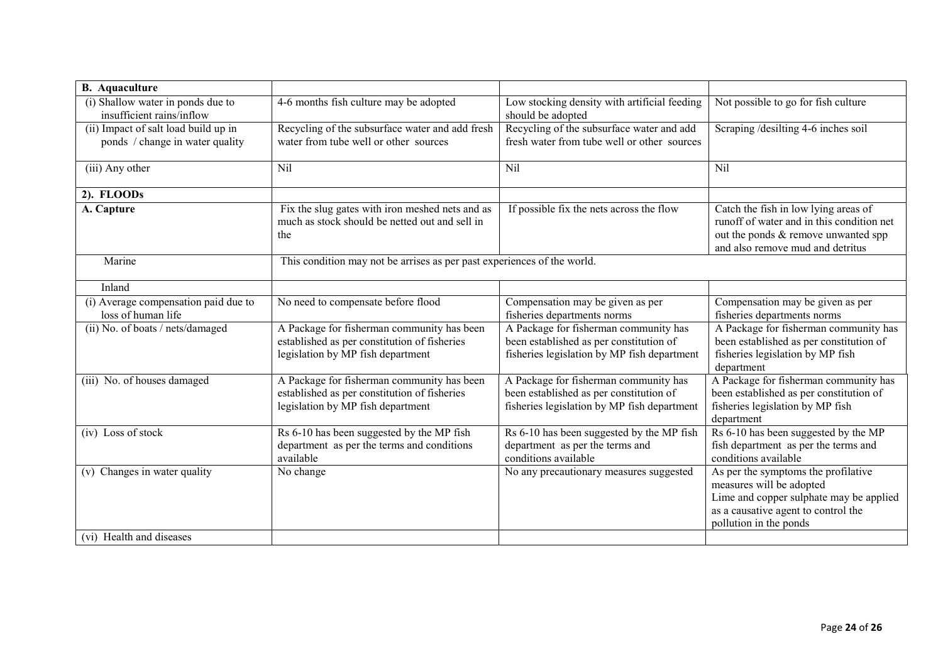| <b>B.</b> Aquaculture                                                   |                                                                                                                                 |                                                                                                                                 |                                                                                                                                                                             |
|-------------------------------------------------------------------------|---------------------------------------------------------------------------------------------------------------------------------|---------------------------------------------------------------------------------------------------------------------------------|-----------------------------------------------------------------------------------------------------------------------------------------------------------------------------|
| (i) Shallow water in ponds due to<br>insufficient rains/inflow          | 4-6 months fish culture may be adopted                                                                                          | Low stocking density with artificial feeding<br>should be adopted                                                               | Not possible to go for fish culture                                                                                                                                         |
| (ii) Impact of salt load build up in<br>ponds / change in water quality | Recycling of the subsurface water and add fresh<br>water from tube well or other sources                                        | Recycling of the subsurface water and add<br>fresh water from tube well or other sources                                        | Scraping /desilting 4-6 inches soil                                                                                                                                         |
| (iii) Any other                                                         | Nil                                                                                                                             | Nil                                                                                                                             | Nil                                                                                                                                                                         |
| 2). FLOODs                                                              |                                                                                                                                 |                                                                                                                                 |                                                                                                                                                                             |
| A. Capture                                                              | Fix the slug gates with iron meshed nets and as<br>much as stock should be netted out and sell in<br>the                        | If possible fix the nets across the flow                                                                                        | Catch the fish in low lying areas of<br>runoff of water and in this condition net<br>out the ponds & remove unwanted spp<br>and also remove mud and detritus                |
| Marine                                                                  | This condition may not be arrises as per past experiences of the world.                                                         |                                                                                                                                 |                                                                                                                                                                             |
| Inland                                                                  |                                                                                                                                 |                                                                                                                                 |                                                                                                                                                                             |
| (i) Average compensation paid due to<br>loss of human life              | No need to compensate before flood                                                                                              | Compensation may be given as per<br>fisheries departments norms                                                                 | Compensation may be given as per<br>fisheries departments norms                                                                                                             |
| (ii) No. of boats / nets/damaged                                        | A Package for fisherman community has been<br>established as per constitution of fisheries<br>legislation by MP fish department | A Package for fisherman community has<br>been established as per constitution of<br>fisheries legislation by MP fish department | A Package for fisherman community has<br>been established as per constitution of<br>fisheries legislation by MP fish<br>department                                          |
| (iii) No. of houses damaged                                             | A Package for fisherman community has been<br>established as per constitution of fisheries<br>legislation by MP fish department | A Package for fisherman community has<br>been established as per constitution of<br>fisheries legislation by MP fish department | A Package for fisherman community has<br>been established as per constitution of<br>fisheries legislation by MP fish<br>department                                          |
| (iv) Loss of stock                                                      | Rs 6-10 has been suggested by the MP fish<br>department as per the terms and conditions<br>available                            | Rs 6-10 has been suggested by the MP fish<br>department as per the terms and<br>conditions available                            | Rs 6-10 has been suggested by the MP<br>fish department as per the terms and<br>conditions available                                                                        |
| (v) Changes in water quality<br>(vi) Health and diseases                | No change                                                                                                                       | No any precautionary measures suggested                                                                                         | As per the symptoms the profilative<br>measures will be adopted<br>Lime and copper sulphate may be applied<br>as a causative agent to control the<br>pollution in the ponds |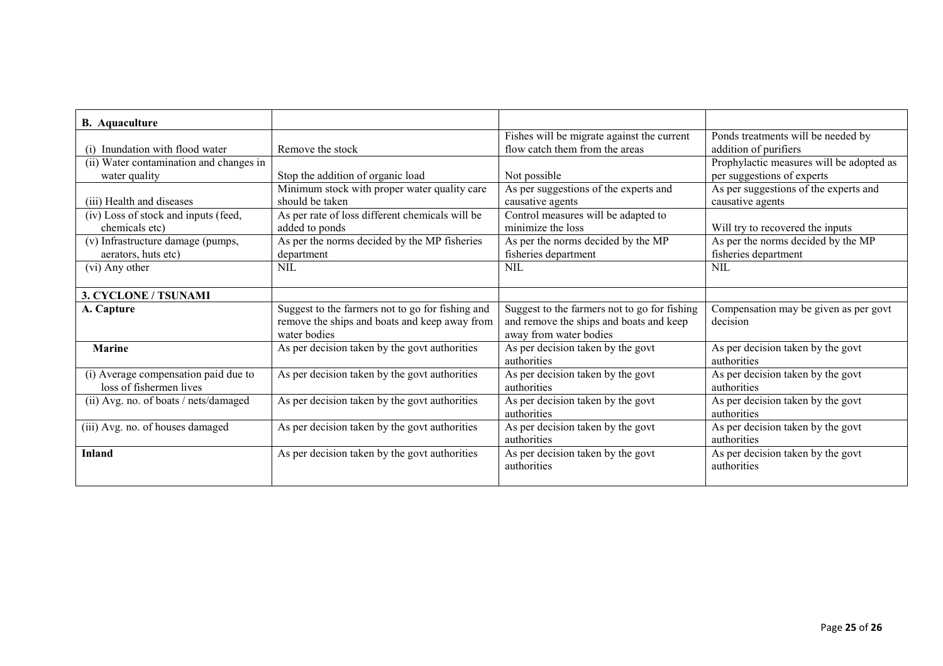| <b>B.</b> Aquaculture                   |                                                  |                                              |                                          |
|-----------------------------------------|--------------------------------------------------|----------------------------------------------|------------------------------------------|
|                                         |                                                  | Fishes will be migrate against the current   | Ponds treatments will be needed by       |
| (i) Inundation with flood water         | Remove the stock                                 | flow catch them from the areas               | addition of purifiers                    |
| (ii) Water contamination and changes in |                                                  |                                              | Prophylactic measures will be adopted as |
| water quality                           | Stop the addition of organic load                | Not possible                                 | per suggestions of experts               |
|                                         | Minimum stock with proper water quality care     | As per suggestions of the experts and        | As per suggestions of the experts and    |
| (iii) Health and diseases               | should be taken                                  | causative agents                             | causative agents                         |
| (iv) Loss of stock and inputs (feed,    | As per rate of loss different chemicals will be  | Control measures will be adapted to          |                                          |
| chemicals etc)                          | added to ponds                                   | minimize the loss                            | Will try to recovered the inputs         |
| (v) Infrastructure damage (pumps,       | As per the norms decided by the MP fisheries     | As per the norms decided by the MP           | As per the norms decided by the MP       |
| aerators, huts etc)                     | department                                       | fisheries department                         | fisheries department                     |
| (vi) Any other                          | NIL                                              | NIL.                                         | NIL                                      |
|                                         |                                                  |                                              |                                          |
| <b>3. CYCLONE / TSUNAMI</b>             |                                                  |                                              |                                          |
| A. Capture                              | Suggest to the farmers not to go for fishing and | Suggest to the farmers not to go for fishing | Compensation may be given as per govt    |
|                                         | remove the ships and boats and keep away from    | and remove the ships and boats and keep      | decision                                 |
|                                         | water bodies                                     | away from water bodies                       |                                          |
| Marine                                  | As per decision taken by the govt authorities    | As per decision taken by the govt            | As per decision taken by the govt        |
|                                         |                                                  | authorities                                  | authorities                              |
| (i) Average compensation paid due to    | As per decision taken by the govt authorities    | As per decision taken by the govt            | As per decision taken by the govt        |
| loss of fishermen lives                 |                                                  | authorities                                  | authorities                              |
| (ii) Avg. no. of boats / nets/damaged   | As per decision taken by the govt authorities    | As per decision taken by the govt            | As per decision taken by the govt        |
|                                         |                                                  | authorities                                  | authorities                              |
| (iii) Avg. no. of houses damaged        | As per decision taken by the govt authorities    | As per decision taken by the govt            | As per decision taken by the govt        |
|                                         |                                                  | authorities                                  | authorities                              |
| <b>Inland</b>                           | As per decision taken by the govt authorities    | As per decision taken by the govt            | As per decision taken by the govt        |
|                                         |                                                  | authorities                                  | authorities                              |
|                                         |                                                  |                                              |                                          |